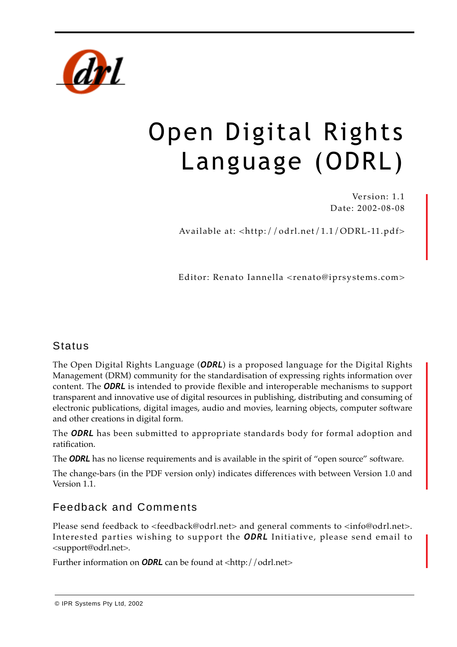

# Open Digital Rights Language (ODRL)

Version: 1.1 Date: 2002-08-08

Available at: <http://odrl.net/1.1/ODRL-11.pdf>

Editor: Renato Iannella <renato@iprsystems.com>

# **Status**

The Open Digital Rights Language (*ODRL*) is a proposed language for the Digital Rights Management (DRM) community for the standardisation of expressing rights information over content. The *ODRL* is intended to provide flexible and interoperable mechanisms to support transparent and innovative use of digital resources in publishing, distributing and consuming of electronic publications, digital images, audio and movies, learning objects, computer software and other creations in digital form.

The *ODRL* has been submitted to appropriate standards body for formal adoption and ratification.

The **ODRL** has no license requirements and is available in the spirit of "open source" software.

The change-bars (in the PDF version only) indicates differences with between Version 1.0 and Version 1.1.

# Feedback and Comments

Please send feedback to <feedback@odrl.net> and general comments to <info@odrl.net>. Interested parties wishing to support the *ODRL* Initiative, please send email to <support@odrl.net>.

Further information on **ODRL** can be found at <http://odrl.net>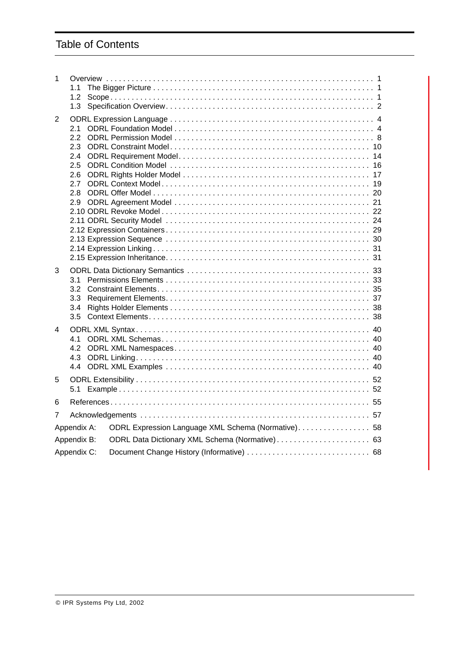# Table of Contents

| 1           | 1.1<br>1.2<br>1.3                                           |                                                     |
|-------------|-------------------------------------------------------------|-----------------------------------------------------|
| 2           | 2.1<br>2.2<br>2.3<br>2.4<br>2.5<br>2.6<br>2.7<br>2.8<br>2.9 |                                                     |
| 3           | 3.1<br>3.2<br>3.3<br>3.4<br>3.5                             |                                                     |
| 4           | 4.1<br>4.2<br>4.3                                           |                                                     |
| 5           | 5.1                                                         |                                                     |
| 6           |                                                             |                                                     |
| 7           |                                                             |                                                     |
|             | Appendix A:                                                 | ODRL Expression Language XML Schema (Normative). 58 |
| Appendix B: |                                                             | ODRL Data Dictionary XML Schema (Normative) 63      |
|             | Appendix C:                                                 |                                                     |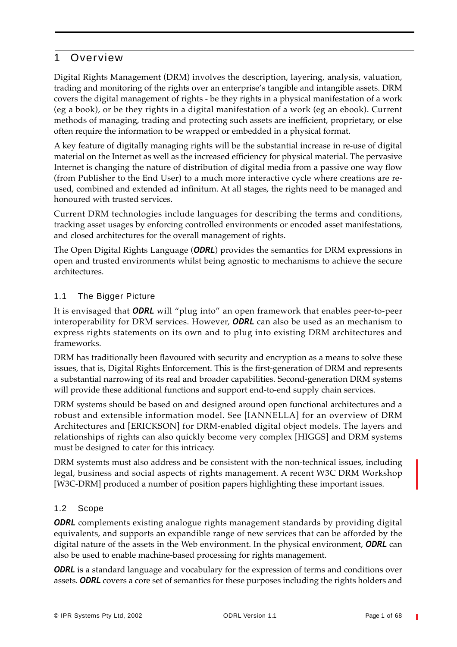# 1 Over view

Digital Rights Management (DRM) involves the description, layering, analysis, valuation, trading and monitoring of the rights over an enterprise's tangible and intangible assets. DRM covers the digital management of rights - be they rights in a physical manifestation of a work (eg a book), or be they rights in a digital manifestation of a work (eg an ebook). Current methods of managing, trading and protecting such assets are inefficient, proprietary, or else often require the information to be wrapped or embedded in a physical format.

A key feature of digitally managing rights will be the substantial increase in re-use of digital material on the Internet as well as the increased efficiency for physical material. The pervasive Internet is changing the nature of distribution of digital media from a passive one way flow (from Publisher to the End User) to a much more interactive cycle where creations are reused, combined and extended ad infinitum. At all stages, the rights need to be managed and honoured with trusted services.

Current DRM technologies include languages for describing the terms and conditions, tracking asset usages by enforcing controlled environments or encoded asset manifestations, and closed architectures for the overall management of rights.

The Open Digital Rights Language (*ODRL*) provides the semantics for DRM expressions in open and trusted environments whilst being agnostic to mechanisms to achieve the secure architectures.

# 1.1 The Bigger Picture

It is envisaged that *ODRL* will "plug into" an open framework that enables peer-to-peer interoperability for DRM services. However, *ODRL* can also be used as an mechanism to express rights statements on its own and to plug into existing DRM architectures and frameworks.

DRM has traditionally been flavoured with security and encryption as a means to solve these issues, that is, Digital Rights Enforcement. This is the first-generation of DRM and represents a substantial narrowing of its real and broader capabilities. Second-generation DRM systems will provide these additional functions and support end-to-end supply chain services.

DRM systems should be based on and designed around open functional architectures and a robust and extensible information model. See [IANNELLA] for an overview of DRM Architectures and [ERICKSON] for DRM-enabled digital object models. The layers and relationships of rights can also quickly become very complex [HIGGS] and DRM systems must be designed to cater for this intricacy.

DRM systemts must also address and be consistent with the non-technical issues, including legal, business and social aspects of rights management. A recent W3C DRM Workshop [W3C-DRM] produced a number of position papers highlighting these important issues.

# 1.2 Scope

*ODRL* complements existing analogue rights management standards by providing digital equivalents, and supports an expandible range of new services that can be afforded by the digital nature of the assets in the Web environment. In the physical environment, *ODRL* can also be used to enable machine-based processing for rights management.

**ODRL** is a standard language and vocabulary for the expression of terms and conditions over assets. *ODRL* covers a core set of semantics for these purposes including the rights holders and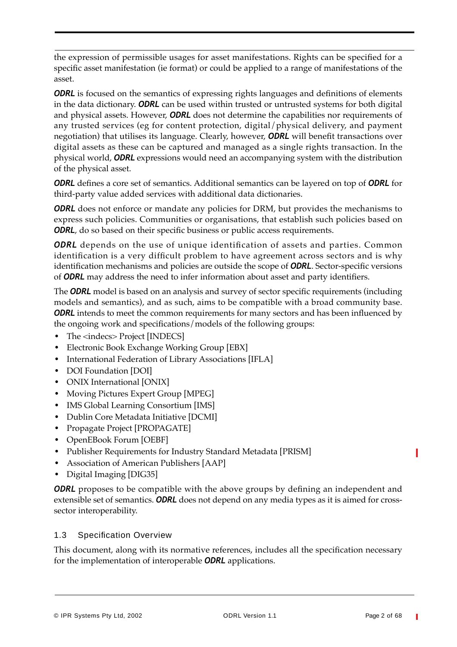the expression of permissible usages for asset manifestations. Rights can be specified for a specific asset manifestation (ie format) or could be applied to a range of manifestations of the asset.

*ODRL* is focused on the semantics of expressing rights languages and definitions of elements in the data dictionary. *ODRL* can be used within trusted or untrusted systems for both digital and physical assets. However, *ODRL* does not determine the capabilities nor requirements of any trusted services (eg for content protection, digital/physical delivery, and payment negotiation) that utilises its language. Clearly, however, *ODRL* will benefit transactions over digital assets as these can be captured and managed as a single rights transaction. In the physical world, *ODRL* expressions would need an accompanying system with the distribution of the physical asset.

*ODRL* defines a core set of semantics. Additional semantics can be layered on top of *ODRL* for third-party value added services with additional data dictionaries.

**ODRL** does not enforce or mandate any policies for DRM, but provides the mechanisms to express such policies. Communities or organisations, that establish such policies based on **ODRL**, do so based on their specific business or public access requirements.

**ODRL** depends on the use of unique identification of assets and parties. Common identification is a very difficult problem to have agreement across sectors and is why identification mechanisms and policies are outside the scope of *ODRL*. Sector-specific versions of *ODRL* may address the need to infer information about asset and party identifiers.

The *ODRL* model is based on an analysis and survey of sector specific requirements (including models and semantics), and as such, aims to be compatible with a broad community base. **ODRL** intends to meet the common requirements for many sectors and has been influenced by the ongoing work and specifications/models of the following groups:

- The <indecs> Project [INDECS]
- **•** Electronic Book Exchange Working Group [EBX]
- **•** International Federation of Library Associations [IFLA]
- **•** DOI Foundation [DOI]
- **•** ONIX International [ONIX]
- **•** Moving Pictures Expert Group [MPEG]
- **•** IMS Global Learning Consortium [IMS]
- **•** Dublin Core Metadata Initiative [DCMI]
- **•** Propagate Project [PROPAGATE]
- **•** OpenEBook Forum [OEBF]
- **•** Publisher Requirements for Industry Standard Metadata [PRISM]
- **•** Association of American Publishers [AAP]
- **•** Digital Imaging [DIG35]

*ODRL* proposes to be compatible with the above groups by defining an independent and extensible set of semantics. *ODRL* does not depend on any media types as it is aimed for crosssector interoperability.

# 1.3 Specification Overview

This document, along with its normative references, includes all the specification necessary for the implementation of interoperable *ODRL* applications.

П

ı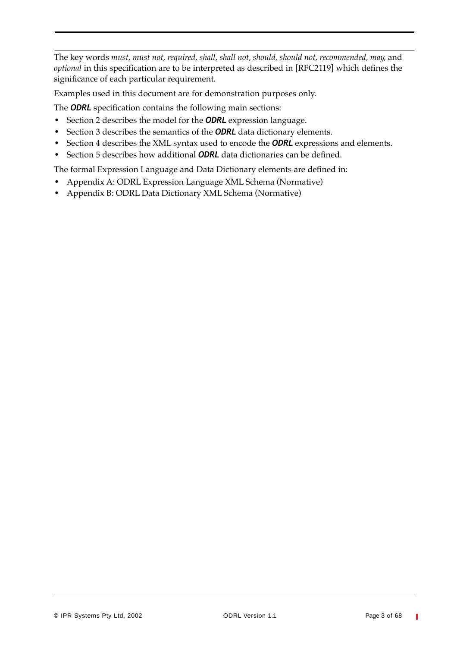The key words *must, must not, required, shall, shall not, should, should not, recommended, may*, and *optional* in this specification are to be interpreted as described in [RFC2119] which defines the significance of each particular requirement.

Examples used in this document are for demonstration purposes only.

The *ODRL* specification contains the following main sections:

- **•** Section 2 describes the model for the *ODRL* expression language.
- **•** Section 3 describes the semantics of the *ODRL* data dictionary elements.
- **•** Section 4 describes the XML syntax used to encode the *ODRL* expressions and elements.
- **•** Section 5 describes how additional *ODRL* data dictionaries can be defined.

The formal Expression Language and Data Dictionary elements are defined in:

- **•** Appendix A: ODRL Expression Language XML Schema (Normative)
- **•** Appendix B: ODRL Data Dictionary XML Schema (Normative)

T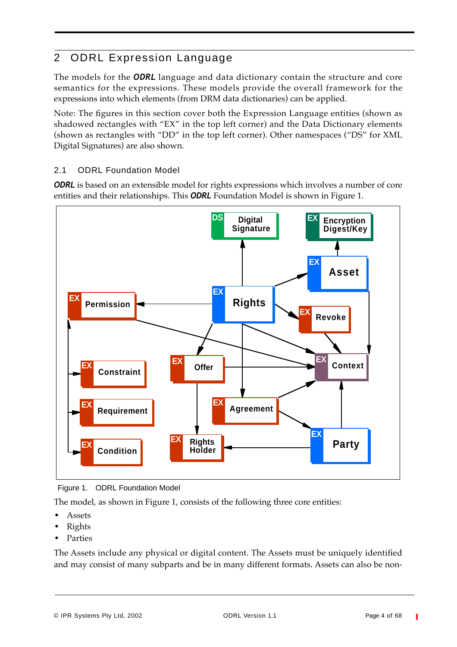# 2 ODRL Expression Language

The models for the *ODRL* language and data dictionary contain the structure and core semantics for the expressions. These models provide the overall framework for the expressions into which elements (from DRM data dictionaries) can be applied.

Note: The figures in this section cover both the Expression Language entities (shown as shadowed rectangles with "EX" in the top left corner) and the Data Dictionary elements (shown as rectangles with "DD" in the top left corner). Other namespaces ("DS" for XML Digital Signatures) are also shown.

# 2.1 ODRL Foundation Model

**ODRL** is based on an extensible model for rights expressions which involves a number of core entities and their relationships. This *ODRL* Foundation Model is shown in Figure 1.



Figure 1. ODRL Foundation Model

The model, as shown in Figure 1, consists of the following three core entities:

- **•** Assets
- **•** Rights
- **•** Parties

The Assets include any physical or digital content. The Assets must be uniquely identified and may consist of many subparts and be in many different formats. Assets can also be non-

© IPR Systems Pty Ltd, 2002 ODRL Version 1.1 Page 4 of 68

T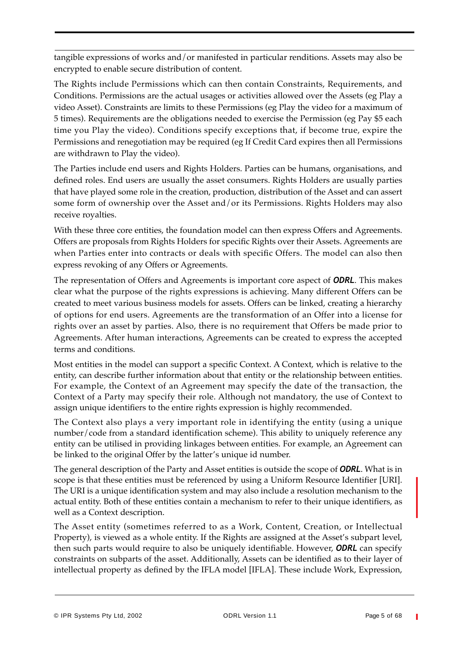tangible expressions of works and/or manifested in particular renditions. Assets may also be encrypted to enable secure distribution of content.

The Rights include Permissions which can then contain Constraints, Requirements, and Conditions. Permissions are the actual usages or activities allowed over the Assets (eg Play a video Asset). Constraints are limits to these Permissions (eg Play the video for a maximum of 5 times). Requirements are the obligations needed to exercise the Permission (eg Pay \$5 each time you Play the video). Conditions specify exceptions that, if become true, expire the Permissions and renegotiation may be required (eg If Credit Card expires then all Permissions are withdrawn to Play the video).

The Parties include end users and Rights Holders. Parties can be humans, organisations, and defined roles. End users are usually the asset consumers. Rights Holders are usually parties that have played some role in the creation, production, distribution of the Asset and can assert some form of ownership over the Asset and/or its Permissions. Rights Holders may also receive royalties.

With these three core entities, the foundation model can then express Offers and Agreements. Offers are proposals from Rights Holders for specific Rights over their Assets. Agreements are when Parties enter into contracts or deals with specific Offers. The model can also then express revoking of any Offers or Agreements.

The representation of Offers and Agreements is important core aspect of *ODRL*. This makes clear what the purpose of the rights expressions is achieving. Many different Offers can be created to meet various business models for assets. Offers can be linked, creating a hierarchy of options for end users. Agreements are the transformation of an Offer into a license for rights over an asset by parties. Also, there is no requirement that Offers be made prior to Agreements. After human interactions, Agreements can be created to express the accepted terms and conditions.

Most entities in the model can support a specific Context. A Context, which is relative to the entity, can describe further information about that entity or the relationship between entities. For example, the Context of an Agreement may specify the date of the transaction, the Context of a Party may specify their role. Although not mandatory, the use of Context to assign unique identifiers to the entire rights expression is highly recommended.

The Context also plays a very important role in identifying the entity (using a unique number/code from a standard identification scheme). This ability to uniquely reference any entity can be utilised in providing linkages between entities. For example, an Agreement can be linked to the original Offer by the latter's unique id number.

The general description of the Party and Asset entities is outside the scope of *ODRL*. What is in scope is that these entities must be referenced by using a Uniform Resource Identifier [URI]. The URI is a unique identification system and may also include a resolution mechanism to the actual entity. Both of these entities contain a mechanism to refer to their unique identifiers, as well as a Context description.

The Asset entity (sometimes referred to as a Work, Content, Creation, or Intellectual Property), is viewed as a whole entity. If the Rights are assigned at the Asset's subpart level, then such parts would require to also be uniquely identifiable. However, *ODRL* can specify constraints on subparts of the asset. Additionally, Assets can be identified as to their layer of intellectual property as defined by the IFLA model [IFLA]. These include Work, Expression,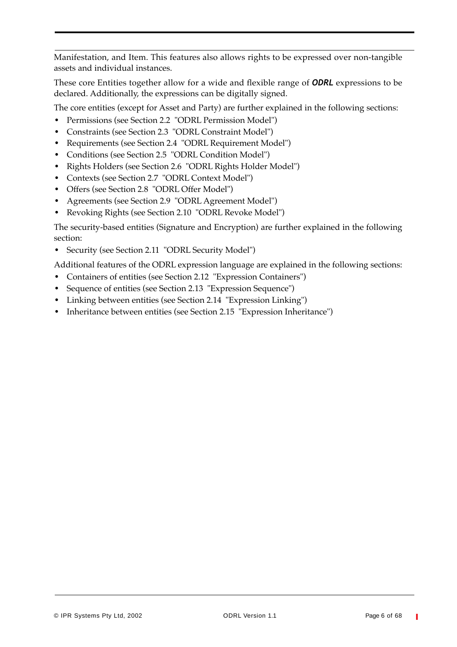Manifestation, and Item. This features also allows rights to be expressed over non-tangible assets and individual instances.

These core Entities together allow for a wide and flexible range of *ODRL* expressions to be declared. Additionally, the expressions can be digitally signed.

The core entities (except for Asset and Party) are further explained in the following sections:

- **•** Permissions (see Section 2.2 "ODRL Permission Model")
- **•** Constraints (see Section 2.3 "ODRL Constraint Model")
- **•** Requirements (see Section 2.4 "ODRL Requirement Model")
- **•** Conditions (see Section 2.5 "ODRL Condition Model")
- **•** Rights Holders (see Section 2.6 "ODRL Rights Holder Model")
- **•** Contexts (see Section 2.7 "ODRL Context Model")
- **•** Offers (see Section 2.8 "ODRL Offer Model")
- **•** Agreements (see Section 2.9 "ODRL Agreement Model")
- **•** Revoking Rights (see Section 2.10 "ODRL Revoke Model")

The security-based entities (Signature and Encryption) are further explained in the following section:

**•** Security (see Section 2.11 "ODRL Security Model")

Additional features of the ODRL expression language are explained in the following sections:

- **•** Containers of entities (see Section 2.12 "Expression Containers")
- **•** Sequence of entities (see Section 2.13 "Expression Sequence")
- **•** Linking between entities (see Section 2.14 "Expression Linking")
- **•** Inheritance between entities (see Section 2.15 "Expression Inheritance")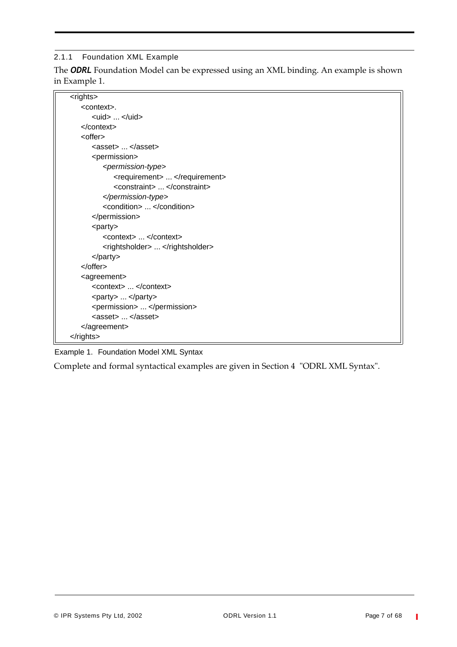#### 2.1.1 Foundation XML Example

The *ODRL* Foundation Model can be expressed using an XML binding. An example is shown in Example 1.

| <rights></rights>                                    |
|------------------------------------------------------|
| <context>.</context>                                 |
| <uid> </uid>                                         |
| $<$ /context>                                        |
| <offer></offer>                                      |
| <asset> </asset>                                     |
| <permission></permission>                            |
| <permission-type></permission-type>                  |
| <requirement> </requirement>                         |
| <constraint> </constraint>                           |
|                                                      |
| <condition> </condition>                             |
|                                                      |
| $<$ party $>$                                        |
| <context> </context>                                 |
| <rightsholder> </rightsholder>                       |
| $<$ /party>                                          |
| $<$ /offer $>$                                       |
| <agreement></agreement>                              |
| <context> </context>                                 |
| <party> </party>                                     |
| <permission> </permission>                           |
| $\langle$ asset $\rangle$ $\langle$ /asset $\rangle$ |
|                                                      |
|                                                      |

Example 1. Foundation Model XML Syntax

Complete and formal syntactical examples are given in Section 4 "ODRL XML Syntax".

 $\mathbb T$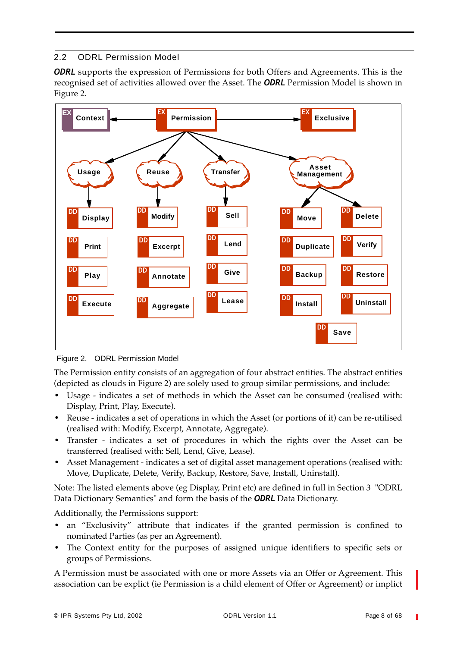# 2.2 ODRL Permission Model

**ODRL** supports the expression of Permissions for both Offers and Agreements. This is the recognised set of activities allowed over the Asset. The *ODRL* Permission Model is shown in Figure 2.



Figure 2. ODRL Permission Model

The Permission entity consists of an aggregation of four abstract entities. The abstract entities (depicted as clouds in Figure 2) are solely used to group similar permissions, and include:

- **•** Usage indicates a set of methods in which the Asset can be consumed (realised with: Display, Print, Play, Execute).
- Reuse indicates a set of operations in which the Asset (or portions of it) can be re-utilised (realised with: Modify, Excerpt, Annotate, Aggregate).
- **•** Transfer indicates a set of procedures in which the rights over the Asset can be transferred (realised with: Sell, Lend, Give, Lease).
- **•** Asset Management indicates a set of digital asset management operations (realised with: Move, Duplicate, Delete, Verify, Backup, Restore, Save, Install, Uninstall).

Note: The listed elements above (eg Display, Print etc) are defined in full in Section 3 "ODRL Data Dictionary Semantics" and form the basis of the *ODRL* Data Dictionary.

Additionally, the Permissions support:

- **•** an "Exclusivity" attribute that indicates if the granted permission is confined to nominated Parties (as per an Agreement).
- The Context entity for the purposes of assigned unique identifiers to specific sets or groups of Permissions.

A Permission must be associated with one or more Assets via an Offer or Agreement. This association can be explict (ie Permission is a child element of Offer or Agreement) or implict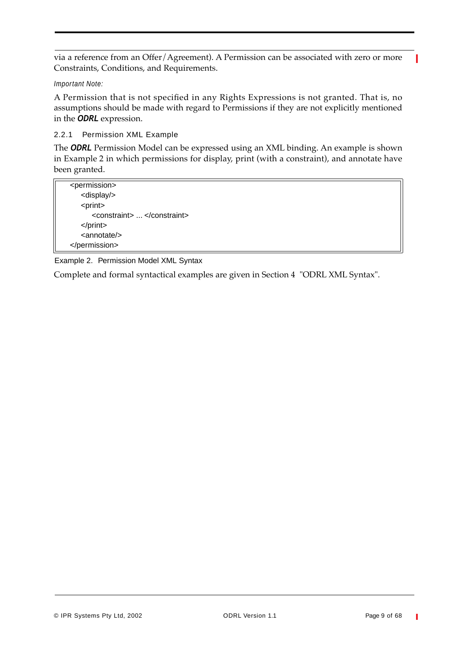via a reference from an Offer/Agreement). A Permission can be associated with zero or more Constraints, Conditions, and Requirements.

#### *Important Note:*

A Permission that is not specified in any Rights Expressions is not granted. That is, no assumptions should be made with regard to Permissions if they are not explicitly mentioned in the *ODRL* expression.

#### 2.2.1 Permission XML Example

The *ODRL* Permission Model can be expressed using an XML binding. An example is shown in Example 2 in which permissions for display, print (with a constraint), and annotate have been granted.

| <permission></permission>  |
|----------------------------|
| <display></display>        |
| <print></print>            |
| <constraint> </constraint> |
| $<$ /print $>$             |
| <annotate></annotate>      |
|                            |

Example 2. Permission Model XML Syntax

Complete and formal syntactical examples are given in Section 4 "ODRL XML Syntax".

T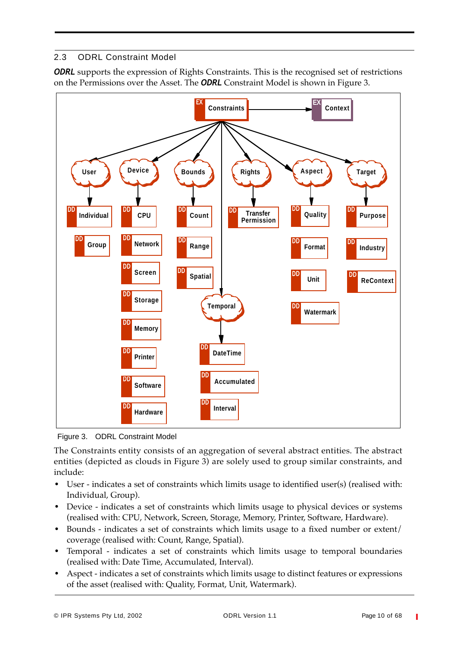# 2.3 ODRL Constraint Model

**ODRL** supports the expression of Rights Constraints. This is the recognised set of restrictions on the Permissions over the Asset. The *ODRL* Constraint Model is shown in Figure 3.



Figure 3. ODRL Constraint Model

The Constraints entity consists of an aggregation of several abstract entities. The abstract entities (depicted as clouds in Figure 3) are solely used to group similar constraints, and include:

- **•** User indicates a set of constraints which limits usage to identified user(s) (realised with: Individual, Group).
- Device indicates a set of constraints which limits usage to physical devices or systems (realised with: CPU, Network, Screen, Storage, Memory, Printer, Software, Hardware).
- **•** Bounds indicates a set of constraints which limits usage to a fixed number or extent/ coverage (realised with: Count, Range, Spatial).
- **•** Temporal indicates a set of constraints which limits usage to temporal boundaries (realised with: Date Time, Accumulated, Interval).
- Aspect indicates a set of constraints which limits usage to distinct features or expressions of the asset (realised with: Quality, Format, Unit, Watermark).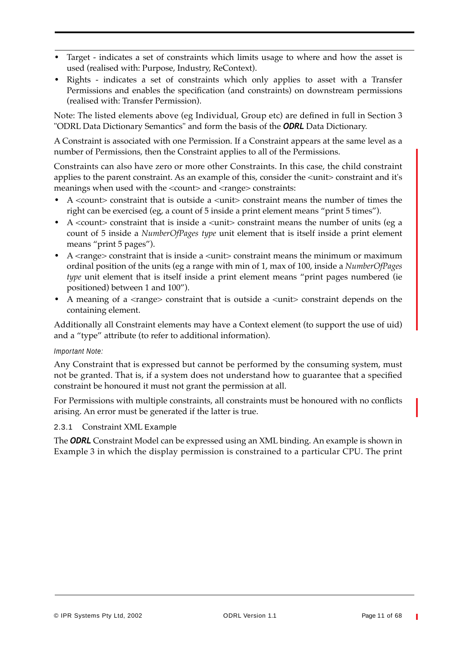- **•** Target indicates a set of constraints which limits usage to where and how the asset is used (realised with: Purpose, Industry, ReContext).
- **•** Rights indicates a set of constraints which only applies to asset with a Transfer Permissions and enables the specification (and constraints) on downstream permissions (realised with: Transfer Permission).

Note: The listed elements above (eg Individual, Group etc) are defined in full in Section 3 "ODRL Data Dictionary Semantics" and form the basis of the *ODRL* Data Dictionary.

A Constraint is associated with one Permission. If a Constraint appears at the same level as a number of Permissions, then the Constraint applies to all of the Permissions.

Constraints can also have zero or more other Constraints. In this case, the child constraint applies to the parent constraint. As an example of this, consider the <unit> constraint and it's meanings when used with the <count> and <range> constraints:

- A <count> constraint that is outside a <unit> constraint means the number of times the right can be exercised (eg, a count of 5 inside a print element means "print 5 times").
- A <count> constraint that is inside a <unit> constraint means the number of units (eg a count of 5 inside a *NumberOfPages type* unit element that is itself inside a print element means "print 5 pages").
- A <range> constraint that is inside a <unit> constraint means the minimum or maximum ordinal position of the units (eg a range with min of 1, max of 100, inside a *NumberOfPages type* unit element that is itself inside a print element means "print pages numbered (ie positioned) between 1 and 100").
- A meaning of a <range> constraint that is outside a <unit> constraint depends on the containing element.

Additionally all Constraint elements may have a Context element (to support the use of uid) and a "type" attribute (to refer to additional information).

#### *Important Note:*

Any Constraint that is expressed but cannot be performed by the consuming system, must not be granted. That is, if a system does not understand how to guarantee that a specified constraint be honoured it must not grant the permission at all.

For Permissions with multiple constraints, all constraints must be honoured with no conflicts arising. An error must be generated if the latter is true.

#### 2.3.1 Constraint XML Example

The *ODRL* Constraint Model can be expressed using an XML binding. An example is shown in Example 3 in which the display permission is constrained to a particular CPU. The print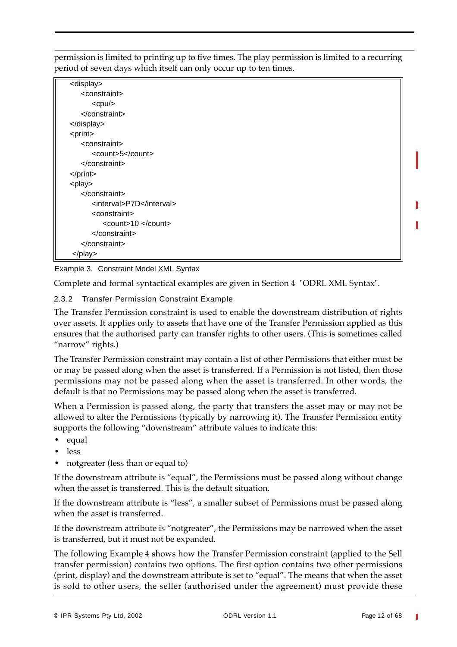permission is limited to printing up to five times. The play permission is limited to a recurring period of seven days which itself can only occur up to ten times.

| <display></display>       |  |
|---------------------------|--|
| <constraint></constraint> |  |
| $<$ cpu $/$               |  |
|                           |  |
|                           |  |
| <print></print>           |  |
| <constraint></constraint> |  |
| <count>5</count>          |  |
|                           |  |
| $<$ /print $>$            |  |
| <play></play>             |  |
|                           |  |
| <interval>P7D</interval>  |  |
| <constraint></constraint> |  |
| <count>10 </count>        |  |
| $<$ /constraint>          |  |
|                           |  |
| $<$ /play>                |  |

#### Example 3. Constraint Model XML Syntax

Complete and formal syntactical examples are given in Section 4 "ODRL XML Syntax".

#### 2.3.2 Transfer Permission Constraint Example

The Transfer Permission constraint is used to enable the downstream distribution of rights over assets. It applies only to assets that have one of the Transfer Permission applied as this ensures that the authorised party can transfer rights to other users. (This is sometimes called "narrow" rights.)

The Transfer Permission constraint may contain a list of other Permissions that either must be or may be passed along when the asset is transferred. If a Permission is not listed, then those permissions may not be passed along when the asset is transferred. In other words, the default is that no Permissions may be passed along when the asset is transferred.

When a Permission is passed along, the party that transfers the asset may or may not be allowed to alter the Permissions (typically by narrowing it). The Transfer Permission entity supports the following "downstream" attribute values to indicate this:

- **•** equal
- **•** less
- **•** notgreater (less than or equal to)

If the downstream attribute is "equal", the Permissions must be passed along without change when the asset is transferred. This is the default situation.

If the downstream attribute is "less", a smaller subset of Permissions must be passed along when the asset is transferred.

If the downstream attribute is "notgreater", the Permissions may be narrowed when the asset is transferred, but it must not be expanded.

The following Example 4 shows how the Transfer Permission constraint (applied to the Sell transfer permission) contains two options. The first option contains two other permissions (print, display) and the downstream attribute is set to "equal". The means that when the asset is sold to other users, the seller (authorised under the agreement) must provide these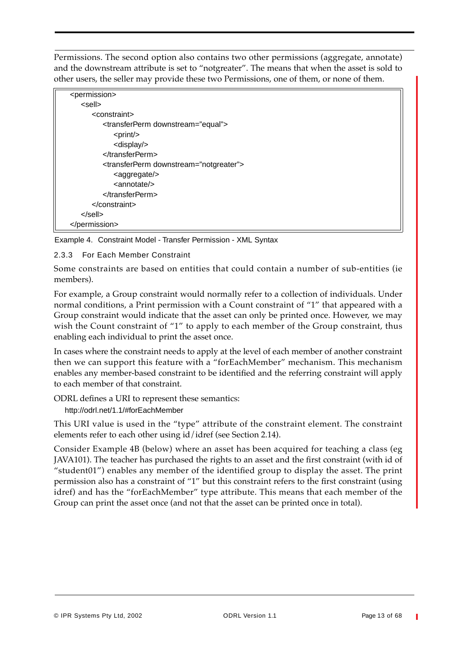Permissions. The second option also contains two other permissions (aggregate, annotate) and the downstream attribute is set to "notgreater". The means that when the asset is sold to other users, the seller may provide these two Permissions, one of them, or none of them.

| <permission></permission>                             |  |
|-------------------------------------------------------|--|
| <sell></sell>                                         |  |
| <constraint></constraint>                             |  |
| <transferperm downstream="equal"></transferperm>      |  |
| $<$ print $/$ >                                       |  |
| <display></display>                                   |  |
| $\langle$ transferPerm>                               |  |
| <transferperm downstream="notgreater"></transferperm> |  |
| <aggregate></aggregate>                               |  |
| $\alpha$ nnotate $\alpha$                             |  |
| $\langle$ transferPerm>                               |  |
| $<$ /constraint>                                      |  |
| $<$ /sell $>$                                         |  |
|                                                       |  |

Example 4. Constraint Model - Transfer Permission - XML Syntax

2.3.3 For Each Member Constraint

Some constraints are based on entities that could contain a number of sub-entities (ie members).

For example, a Group constraint would normally refer to a collection of individuals. Under normal conditions, a Print permission with a Count constraint of "1" that appeared with a Group constraint would indicate that the asset can only be printed once. However, we may wish the Count constraint of "1" to apply to each member of the Group constraint, thus enabling each individual to print the asset once.

In cases where the constraint needs to apply at the level of each member of another constraint then we can support this feature with a "forEachMember" mechanism. This mechanism enables any member-based constraint to be identified and the referring constraint will apply to each member of that constraint.

ODRL defines a URI to represent these semantics:

http://odrl.net/1.1/#forEachMember

This URI value is used in the "type" attribute of the constraint element. The constraint elements refer to each other using id/idref (see Section 2.14).

Consider Example 4B (below) where an asset has been acquired for teaching a class (eg JAVA101). The teacher has purchased the rights to an asset and the first constraint (with id of "student01") enables any member of the identified group to display the asset. The print permission also has a constraint of "1" but this constraint refers to the first constraint (using idref) and has the "forEachMember" type attribute. This means that each member of the Group can print the asset once (and not that the asset can be printed once in total).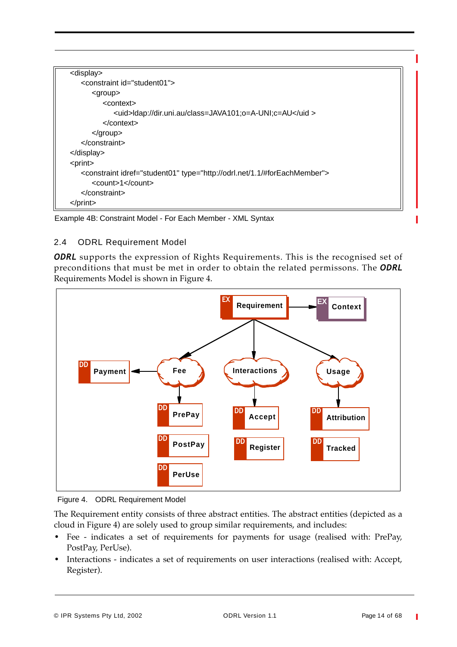Example 4B: Constraint Model - For Each Member - XML Syntax

#### 2.4 ODRL Requirement Model

**ODRL** supports the expression of Rights Requirements. This is the recognised set of preconditions that must be met in order to obtain the related permissons. The *ODRL* Requirements Model is shown in Figure 4.



Figure 4. ODRL Requirement Model

The Requirement entity consists of three abstract entities. The abstract entities (depicted as a cloud in Figure 4) are solely used to group similar requirements, and includes:

- Fee indicates a set of requirements for payments for usage (realised with: PrePay, PostPay, PerUse).
- **•** Interactions indicates a set of requirements on user interactions (realised with: Accept, Register).

T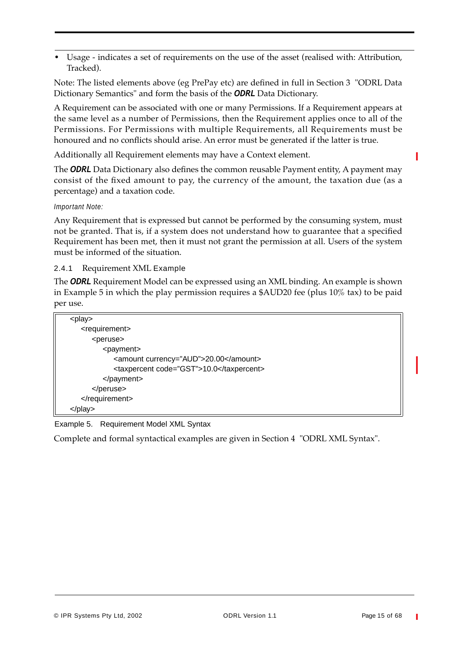**•** Usage - indicates a set of requirements on the use of the asset (realised with: Attribution, Tracked).

Note: The listed elements above (eg PrePay etc) are defined in full in Section 3 "ODRL Data Dictionary Semantics" and form the basis of the *ODRL* Data Dictionary.

A Requirement can be associated with one or many Permissions. If a Requirement appears at the same level as a number of Permissions, then the Requirement applies once to all of the Permissions. For Permissions with multiple Requirements, all Requirements must be honoured and no conflicts should arise. An error must be generated if the latter is true.

Additionally all Requirement elements may have a Context element.

The *ODRL* Data Dictionary also defines the common reusable Payment entity, A payment may consist of the fixed amount to pay, the currency of the amount, the taxation due (as a percentage) and a taxation code.

#### *Important Note:*

Any Requirement that is expressed but cannot be performed by the consuming system, must not be granted. That is, if a system does not understand how to guarantee that a specified Requirement has been met, then it must not grant the permission at all. Users of the system must be informed of the situation.

2.4.1 Requirement XML Example

The *ODRL* Requirement Model can be expressed using an XML binding. An example is shown in Example 5 in which the play permission requires a \$AUD20 fee (plus 10% tax) to be paid per use.

| <play></play>               |                                          |
|-----------------------------|------------------------------------------|
| <requirement></requirement> |                                          |
| <peruse></peruse>           |                                          |
| <payment></payment>         |                                          |
|                             | <amount currency="AUD">20.00</amount>    |
|                             | <taxpercent code="GST">10.0</taxpercent> |
|                             |                                          |
|                             |                                          |
|                             |                                          |
|                             |                                          |

Example 5. Requirement Model XML Syntax

Complete and formal syntactical examples are given in Section 4 "ODRL XML Syntax".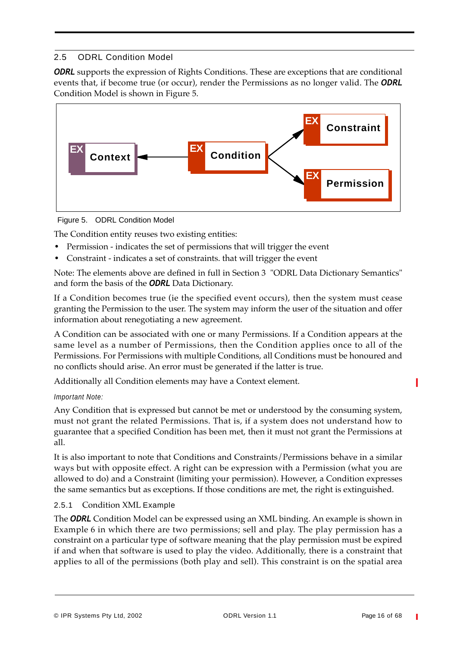# 2.5 ODRL Condition Model

**ODRL** supports the expression of Rights Conditions. These are exceptions that are conditional events that, if become true (or occur), render the Permissions as no longer valid. The *ODRL* Condition Model is shown in Figure 5.





The Condition entity reuses two existing entities:

- **•** Permission indicates the set of permissions that will trigger the event
- **•** Constraint indicates a set of constraints. that will trigger the event

Note: The elements above are defined in full in Section 3 "ODRL Data Dictionary Semantics" and form the basis of the *ODRL* Data Dictionary.

If a Condition becomes true (ie the specified event occurs), then the system must cease granting the Permission to the user. The system may inform the user of the situation and offer information about renegotiating a new agreement.

A Condition can be associated with one or many Permissions. If a Condition appears at the same level as a number of Permissions, then the Condition applies once to all of the Permissions. For Permissions with multiple Conditions, all Conditions must be honoured and no conflicts should arise. An error must be generated if the latter is true.

Additionally all Condition elements may have a Context element.

#### *Important Note:*

Any Condition that is expressed but cannot be met or understood by the consuming system, must not grant the related Permissions. That is, if a system does not understand how to guarantee that a specified Condition has been met, then it must not grant the Permissions at all.

It is also important to note that Conditions and Constraints/Permissions behave in a similar ways but with opposite effect. A right can be expression with a Permission (what you are allowed to do) and a Constraint (limiting your permission). However, a Condition expresses the same semantics but as exceptions. If those conditions are met, the right is extinguished.

# 2.5.1 Condition XML Example

The *ODRL* Condition Model can be expressed using an XML binding. An example is shown in Example 6 in which there are two permissions; sell and play. The play permission has a constraint on a particular type of software meaning that the play permission must be expired if and when that software is used to play the video. Additionally, there is a constraint that applies to all of the permissions (both play and sell). This constraint is on the spatial area

П

Π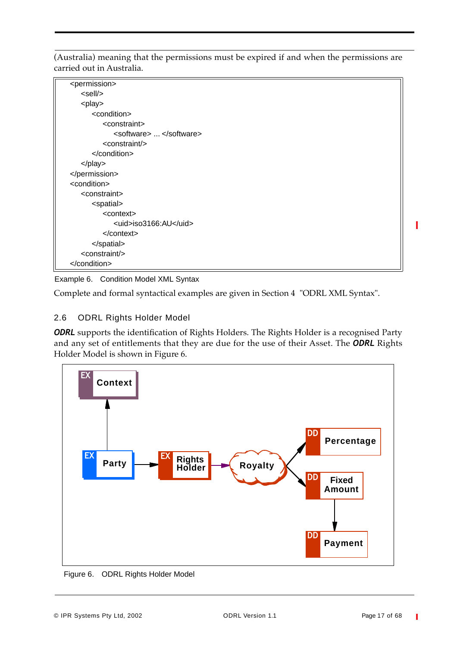(Australia) meaning that the permissions must be expired if and when the permissions are carried out in Australia.

| <permission></permission> |  |
|---------------------------|--|
| <sell></sell>             |  |
| <play></play>             |  |
| <condition></condition>   |  |
| <constraint></constraint> |  |
| <software> </software>    |  |
| <constraint></constraint> |  |
|                           |  |
| $<$ /play>                |  |
|                           |  |
| <condition></condition>   |  |
| <constraint></constraint> |  |
| <spatial></spatial>       |  |
| <context></context>       |  |
| <uid>iso3166:AU</uid>     |  |
| $<$ /context $>$          |  |
|                           |  |
| <constraint></constraint> |  |
|                           |  |



Complete and formal syntactical examples are given in Section 4 "ODRL XML Syntax".

# 2.6 ODRL Rights Holder Model

**ODRL** supports the identification of Rights Holders. The Rights Holder is a recognised Party and any set of entitlements that they are due for the use of their Asset. The *ODRL* Rights Holder Model is shown in Figure 6.



Figure 6. ODRL Rights Holder Model

T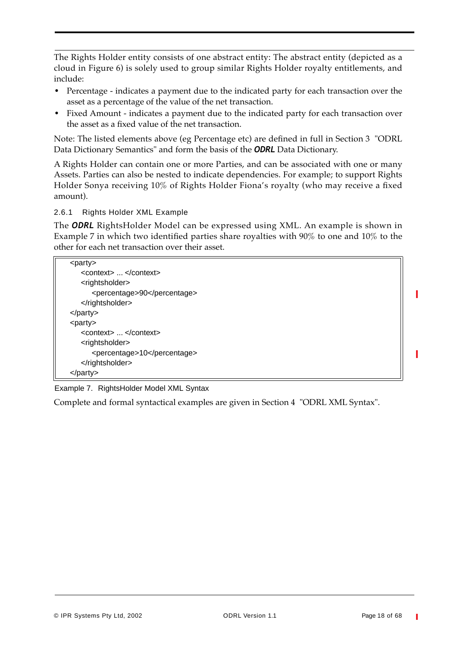The Rights Holder entity consists of one abstract entity: The abstract entity (depicted as a cloud in Figure 6) is solely used to group similar Rights Holder royalty entitlements, and include:

- **•** Percentage indicates a payment due to the indicated party for each transaction over the asset as a percentage of the value of the net transaction.
- **•** Fixed Amount indicates a payment due to the indicated party for each transaction over the asset as a fixed value of the net transaction.

Note: The listed elements above (eg Percentage etc) are defined in full in Section 3 "ODRL Data Dictionary Semantics" and form the basis of the *ODRL* Data Dictionary.

A Rights Holder can contain one or more Parties, and can be associated with one or many Assets. Parties can also be nested to indicate dependencies. For example; to support Rights Holder Sonya receiving 10% of Rights Holder Fiona's royalty (who may receive a fixed amount).

2.6.1 Rights Holder XML Example

The *ODRL* RightsHolder Model can be expressed using XML. An example is shown in Example 7 in which two identified parties share royalties with 90% to one and 10% to the other for each net transaction over their asset.

| <party></party>               |
|-------------------------------|
| <context> </context>          |
| <rightsholder></rightsholder> |
| <percentage>90</percentage>   |
|                               |
| $<$ /party>                   |
| <party></party>               |
| <context> </context>          |
| <rightsholder></rightsholder> |
| <percentage>10</percentage>   |
|                               |
|                               |

Example 7. RightsHolder Model XML Syntax

Complete and formal syntactical examples are given in Section 4 "ODRL XML Syntax".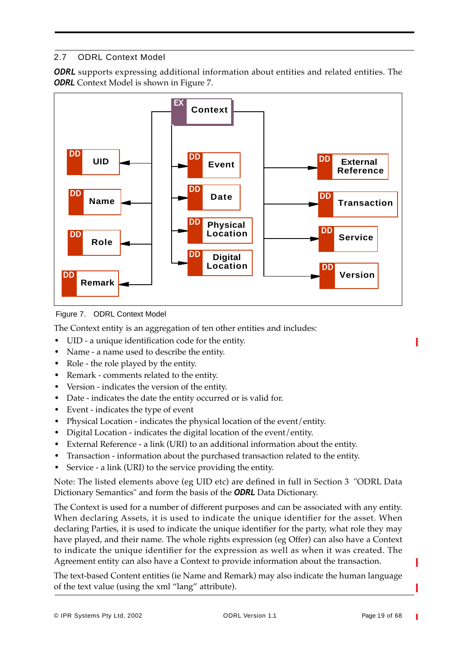# 2.7 ODRL Context Model

**ODRL** supports expressing additional information about entities and related entities. The **ODRL** Context Model is shown in Figure 7.



Figure 7. ODRL Context Model

The Context entity is an aggregation of ten other entities and includes:

- **•** UID a unique identification code for the entity.
- **•** Name a name used to describe the entity.
- **•** Role the role played by the entity.
- **•** Remark comments related to the entity.
- **•** Version indicates the version of the entity.
- **•** Date indicates the date the entity occurred or is valid for.
- **•** Event indicates the type of event
- **•** Physical Location indicates the physical location of the event/entity.
- **•** Digital Location indicates the digital location of the event/entity.
- **•** External Reference a link (URI) to an additional information about the entity.
- **•** Transaction information about the purchased transaction related to the entity.
- **•** Service a link (URI) to the service providing the entity.

Note: The listed elements above (eg UID etc) are defined in full in Section 3 "ODRL Data Dictionary Semantics" and form the basis of the *ODRL* Data Dictionary.

The Context is used for a number of different purposes and can be associated with any entity. When declaring Assets, it is used to indicate the unique identifier for the asset. When declaring Parties, it is used to indicate the unique identifier for the party, what role they may have played, and their name. The whole rights expression (eg Offer) can also have a Context to indicate the unique identifier for the expression as well as when it was created. The Agreement entity can also have a Context to provide information about the transaction.

The text-based Content entities (ie Name and Remark) may also indicate the human language of the text value (using the xml "lang" attribute).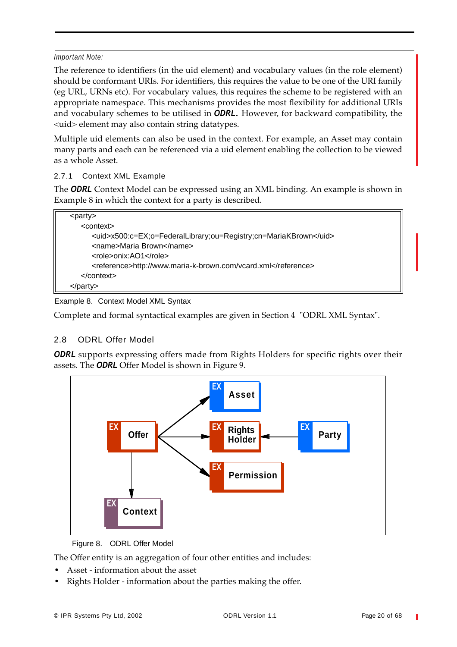#### *Important Note:*

The reference to identifiers (in the uid element) and vocabulary values (in the role element) should be conformant URIs. For identifiers, this requires the value to be one of the URI family (eg URL, URNs etc). For vocabulary values, this requires the scheme to be registered with an appropriate namespace. This mechanisms provides the most flexibility for additional URIs and vocabulary schemes to be utilised in *ODRL.* However, for backward compatibility, the <uid> element may also contain string datatypes.

Multiple uid elements can also be used in the context. For example, an Asset may contain many parts and each can be referenced via a uid element enabling the collection to be viewed as a whole Asset.

#### 2.7.1 Context XML Example

The *ODRL* Context Model can be expressed using an XML binding. An example is shown in Example 8 in which the context for a party is described.

| <party></party>                                                  |
|------------------------------------------------------------------|
| <context></context>                                              |
| <uid>x500:c=EX;o=FederalLibrary;ou=Registry;cn=MariaKBrown</uid> |
| <name>Maria Brown</name>                                         |
| <role>onix:AO1</role>                                            |
| <reference>http://www.maria-k-brown.com/vcard.xml</reference>    |
| $\alpha$ / context                                               |
| $<$ /party>                                                      |

#### Example 8. Context Model XML Syntax

Complete and formal syntactical examples are given in Section 4 "ODRL XML Syntax".

# 2.8 ODRL Offer Model

*ODRL* supports expressing offers made from Rights Holders for specific rights over their assets. The *ODRL* Offer Model is shown in Figure 9.



Figure 8. ODRL Offer Model

The Offer entity is an aggregation of four other entities and includes:

- **•** Asset information about the asset
- **•** Rights Holder information about the parties making the offer.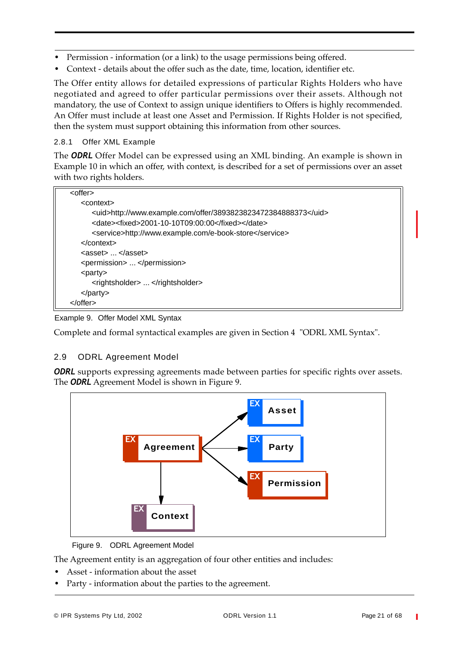- **•** Permission information (or a link) to the usage permissions being offered.
- **•** Context details about the offer such as the date, time, location, identifier etc.

The Offer entity allows for detailed expressions of particular Rights Holders who have negotiated and agreed to offer particular permissions over their assets. Although not mandatory, the use of Context to assign unique identifiers to Offers is highly recommended. An Offer must include at least one Asset and Permission. If Rights Holder is not specified, then the system must support obtaining this information from other sources.

#### 2.8.1 Offer XML Example

The *ODRL* Offer Model can be expressed using an XML binding. An example is shown in Example 10 in which an offer, with context, is described for a set of permissions over an asset with two rights holders.

| <offer></offer>                                                |
|----------------------------------------------------------------|
| <context></context>                                            |
| <uid>http://www.example.com/offer/3893823823472384888373</uid> |
| <date><fixed>2001-10-10T09:00:00</fixed></date>                |
| <service>http://www.example.com/e-book-store</service>         |
| $<$ /context $>$                                               |
| $\langle$ asset $\rangle$ $\langle$ asset $\rangle$            |
| <permission> </permission>                                     |
| $\langle$ party $\rangle$                                      |
| <rightsholder> </rightsholder>                                 |
| $<$ /party $>$                                                 |
| $<$ /offer $>$                                                 |
|                                                                |

Example 9. Offer Model XML Syntax

Complete and formal syntactical examples are given in Section 4 "ODRL XML Syntax".

# 2.9 ODRL Agreement Model

**ODRL** supports expressing agreements made between parties for specific rights over assets. The *ODRL* Agreement Model is shown in Figure 9.



Figure 9. ODRL Agreement Model

The Agreement entity is an aggregation of four other entities and includes:

- **•** Asset information about the asset
- **•** Party information about the parties to the agreement.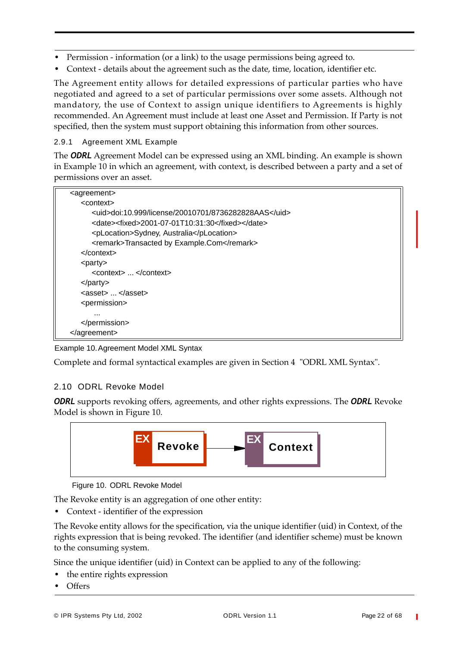- **•** Permission information (or a link) to the usage permissions being agreed to.
- **•** Context details about the agreement such as the date, time, location, identifier etc.

The Agreement entity allows for detailed expressions of particular parties who have negotiated and agreed to a set of particular permissions over some assets. Although not mandatory, the use of Context to assign unique identifiers to Agreements is highly recommended. An Agreement must include at least one Asset and Permission. If Party is not specified, then the system must support obtaining this information from other sources.

#### 2.9.1 Agreement XML Example

The *ODRL* Agreement Model can be expressed using an XML binding. An example is shown in Example 10 in which an agreement, with context, is described between a party and a set of permissions over an asset.

| <agreement></agreement>                              |
|------------------------------------------------------|
| <context></context>                                  |
| <uid>doi:10.999/license/20010701/8736282828AAS</uid> |
| <date><fixed>2001-07-01T10:31:30</fixed></date>      |
| <plocation>Sydney, Australia</plocation>             |
| <remark>Transacted by Example.Com</remark>           |
| $<$ /context $>$                                     |
| <party></party>                                      |
| <context> </context>                                 |
| $<$ /party>                                          |
| <asset> </asset>                                     |
| <permission></permission>                            |
| $\cdots$                                             |
|                                                      |
| $\alpha$ agreement                                   |

#### Example 10.Agreement Model XML Syntax

Complete and formal syntactical examples are given in Section 4 "ODRL XML Syntax".

# 2.10 ODRL Revoke Model

*ODRL* supports revoking offers, agreements, and other rights expressions. The *ODRL* Revoke Model is shown in Figure 10.



Figure 10. ODRL Revoke Model

The Revoke entity is an aggregation of one other entity:

**•** Context - identifier of the expression

The Revoke entity allows for the specification, via the unique identifier (uid) in Context, of the rights expression that is being revoked. The identifier (and identifier scheme) must be known to the consuming system.

Since the unique identifier (uid) in Context can be applied to any of the following:

- **•** the entire rights expression
- **•** Offers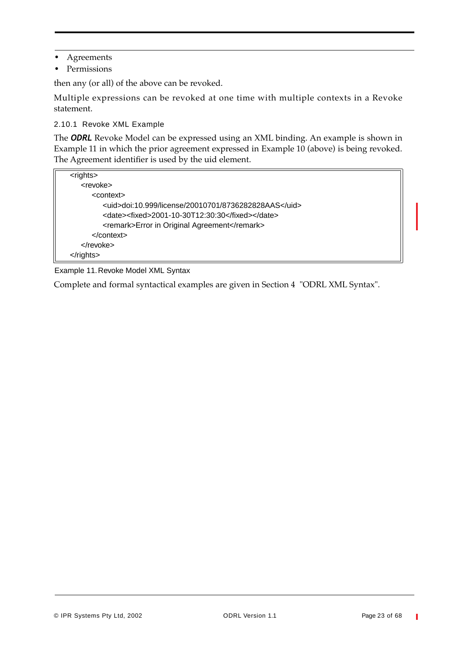- **•** Agreements
- **•** Permissions

then any (or all) of the above can be revoked.

Multiple expressions can be revoked at one time with multiple contexts in a Revoke statement.

2.10.1 Revoke XML Example

The *ODRL* Revoke Model can be expressed using an XML binding. An example is shown in Example 11 in which the prior agreement expressed in Example 10 (above) is being revoked. The Agreement identifier is used by the uid element.

| <rights></rights>                                    |  |
|------------------------------------------------------|--|
| <revoke></revoke>                                    |  |
| <context></context>                                  |  |
| <uid>doi:10.999/license/20010701/8736282828AAS</uid> |  |
| <date><fixed>2001-10-30T12:30:30</fixed></date>      |  |
| <remark>Error in Original Agreement</remark>         |  |
| $\alpha$ context                                     |  |
| $\langle$ revoke>                                    |  |
|                                                      |  |

Example 11.Revoke Model XML Syntax

Complete and formal syntactical examples are given in Section 4 "ODRL XML Syntax".

Ī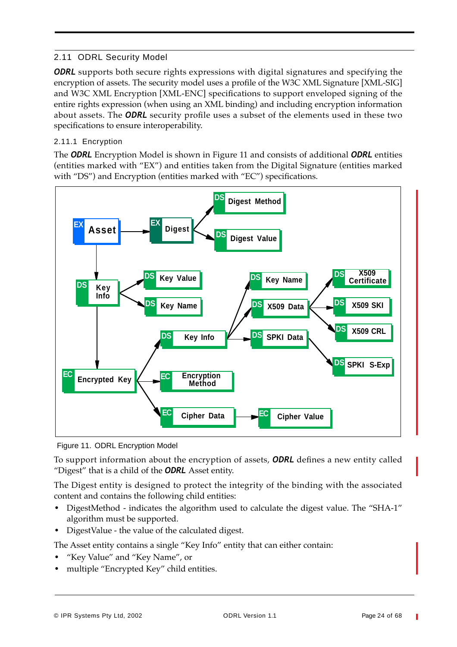# 2.11 ODRL Security Model

*ODRL* supports both secure rights expressions with digital signatures and specifying the encryption of assets. The security model uses a profile of the W3C XML Signature [XML-SIG] and W3C XML Encryption [XML-ENC] specifications to support enveloped signing of the entire rights expression (when using an XML binding) and including encryption information about assets. The *ODRL* security profile uses a subset of the elements used in these two specifications to ensure interoperability.

# 2.11.1 Encryption

The *ODRL* Encryption Model is shown in Figure 11 and consists of additional *ODRL* entities (entities marked with "EX") and entities taken from the Digital Signature (entities marked with "DS") and Encryption (entities marked with "EC") specifications.



Figure 11. ODRL Encryption Model

To support information about the encryption of assets, *ODRL* defines a new entity called "Digest" that is a child of the *ODRL* Asset entity.

The Digest entity is designed to protect the integrity of the binding with the associated content and contains the following child entities:

- **•** DigestMethod indicates the algorithm used to calculate the digest value. The "SHA-1" algorithm must be supported.
- **•** DigestValue the value of the calculated digest.

The Asset entity contains a single "Key Info" entity that can either contain:

- **•** "Key Value" and "Key Name", or
- **•** multiple "Encrypted Key" child entities.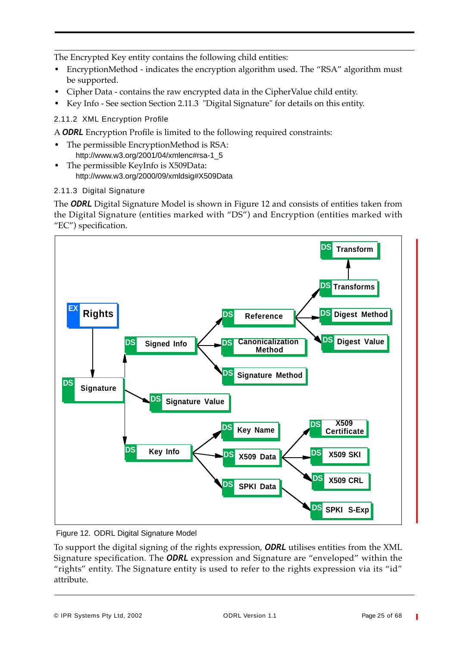The Encrypted Key entity contains the following child entities:

- **•** EncryptionMethod indicates the encryption algorithm used. The "RSA" algorithm must be supported.
- **•** Cipher Data contains the raw encrypted data in the CipherValue child entity.
- **•** Key Info See section Section 2.11.3 "Digital Signature" for details on this entity.

2.11.2 XML Encryption Profile

A *ODRL* Encryption Profile is limited to the following required constraints:

- **•** The permissible EncryptionMethod is RSA: http://www.w3.org/2001/04/xmlenc#rsa-1\_5
- **•** The permissible KeyInfo is X509Data: http://www.w3.org/2000/09/xmldsig#X509Data

# 2.11.3 Digital Signature

The *ODRL* Digital Signature Model is shown in Figure 12 and consists of entities taken from the Digital Signature (entities marked with "DS") and Encryption (entities marked with "EC") specification.



Figure 12. ODRL Digital Signature Model

To support the digital signing of the rights expression, *ODRL* utilises entities from the XML Signature specification. The *ODRL* expression and Signature are "enveloped" within the "rights" entity. The Signature entity is used to refer to the rights expression via its "id" attribute.

T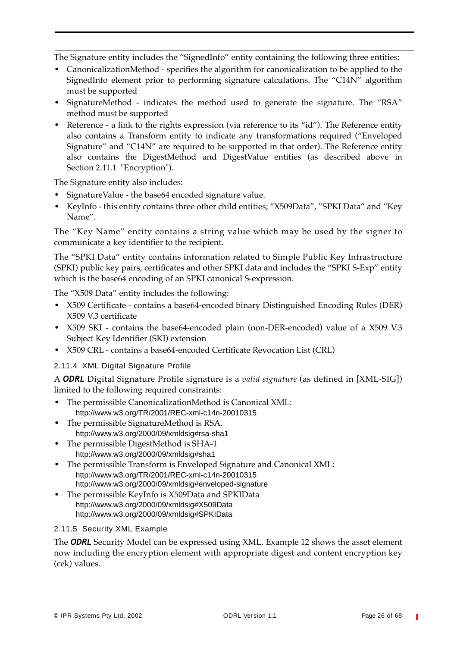The Signature entity includes the "SignedInfo" entity containing the following three entities:

- **•** CanonicalizationMethod specifies the algorithm for canonicalization to be applied to the SignedInfo element prior to performing signature calculations. The "C14N" algorithm must be supported
- **•** SignatureMethod indicates the method used to generate the signature. The "RSA" method must be supported
- Reference a link to the rights expression (via reference to its "id"). The Reference entity also contains a Transform entity to indicate any transformations required ("Enveloped Signature" and "C14N" are required to be supported in that order). The Reference entity also contains the DigestMethod and DigestValue entities (as described above in Section 2.11.1 "Encryption").

The Signature entity also includes:

- **•** SignatureValue the base64 encoded signature value.
- **•** KeyInfo this entity contains three other child entities; "X509Data", "SPKI Data" and "Key Name".

The "Key Name" entity contains a string value which may be used by the signer to communicate a key identifier to the recipient.

The "SPKI Data" entity contains information related to Simple Public Key Infrastructure (SPKI) public key pairs, certificates and other SPKI data and includes the "SPKI S-Exp" entity which is the base64 encoding of an SPKI canonical S-expression.

The "X509 Data" entity includes the following:

- **•** X509 Certificate contains a base64-encoded binary Distinguished Encoding Rules (DER) X509 V.3 certificate
- **•** X509 SKI contains the base64-encoded plain (non-DER-encoded) value of a X509 V.3 Subject Key Identifier (SKI) extension
- **•** X509 CRL contains a base64-encoded Certificate Revocation List (CRL)

# 2.11.4 XML Digital Signature Profile

A *ODRL* Digital Signature Profile signature is a *valid signature* (as defined in [XML-SIG]) limited to the following required constraints:

- **•** The permissible CanonicalizationMethod is Canonical XML: http://www.w3.org/TR/2001/REC-xml-c14n-20010315
- **•** The permissible SignatureMethod is RSA. http://www.w3.org/2000/09/xmldsig#rsa-sha1
- **•** The permissible DigestMethod is SHA-1 http://www.w3.org/2000/09/xmldsig#sha1
- **•** The permissible Transform is Enveloped Signature and Canonical XML: http://www.w3.org/TR/2001/REC-xml-c14n-20010315 http://www.w3.org/2000/09/xmldsig#enveloped-signature
- **•** The permissible KeyInfo is X509Data and SPKIData http://www.w3.org/2000/09/xmldsig#X509Data http://www.w3.org/2000/09/xmldsig#SPKIData

# 2.11.5 Security XML Example

The *ODRL* Security Model can be expressed using XML. Example 12 shows the asset element now including the encryption element with appropriate digest and content encryption key (cek) values.

 $\blacksquare$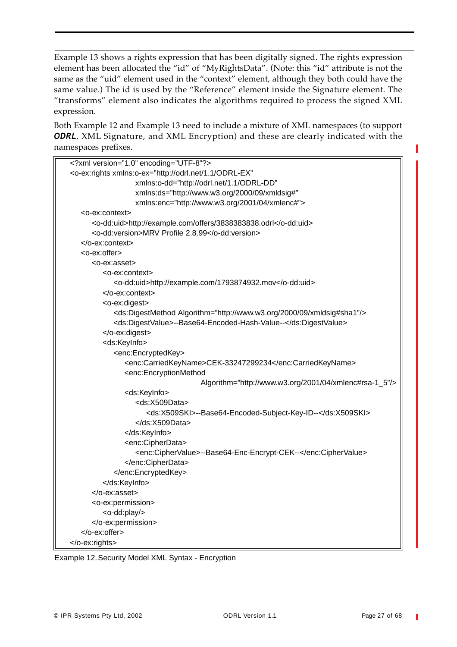Example 13 shows a rights expression that has been digitally signed. The rights expression element has been allocated the "id" of "MyRightsData". (Note: this "id" attribute is not the same as the "uid" element used in the "context" element, although they both could have the same value.) The id is used by the "Reference" element inside the Signature element. The "transforms" element also indicates the algorithms required to process the signed XML expression.

Both Example 12 and Example 13 need to include a mixture of XML namespaces (to support *ODRL*, XML Signature, and XML Encryption) and these are clearly indicated with the namespaces prefixes.

| xml version="1.0" encoding="UTF-8"?                                                    |
|----------------------------------------------------------------------------------------|
| <o-ex:rights <="" td="" xmlns:o-ex="http://odrl.net/1.1/ODRL-EX"></o-ex:rights>        |
| xmlns:o-dd="http://odrl.net/1.1/ODRL-DD"                                               |
| xmlns:ds="http://www.w3.org/2000/09/xmldsig#"                                          |
| xmlns:enc="http://www.w3.org/2001/04/xmlenc#">                                         |
| <o-ex:context></o-ex:context>                                                          |
| <o-dd:uid>http://example.com/offers/3838383838.odrl</o-dd:uid>                         |
| <o-dd:version>MRV Profile 2.8.99</o-dd:version>                                        |
|                                                                                        |
| <o-ex:offer></o-ex:offer>                                                              |
| <o-ex:asset></o-ex:asset>                                                              |
| <o-ex:context></o-ex:context>                                                          |
| <o-dd:uid>http://example.com/1793874932.mov</o-dd:uid>                                 |
|                                                                                        |
| <o-ex:digest></o-ex:digest>                                                            |
| <ds:digestmethod algorithm="http://www.w3.org/2000/09/xmldsig#sha1"></ds:digestmethod> |
| <ds:digestvalue>--Base64-Encoded-Hash-Value--</ds:digestvalue>                         |
|                                                                                        |
| <ds:keyinfo></ds:keyinfo>                                                              |
| <enc:encryptedkey></enc:encryptedkey>                                                  |
| <enc:carriedkeyname>CEK-33247299234</enc:carriedkeyname>                               |
| <enc:encryptionmethod< td=""></enc:encryptionmethod<>                                  |
| Algorithm="http://www.w3.org/2001/04/xmlenc#rsa-1_5"/>                                 |
| <ds:keyinfo></ds:keyinfo>                                                              |
| <ds:x509data></ds:x509data>                                                            |
| <ds:x509ski>--Base64-Encoded-Subject-Key-ID--</ds:x509ski>                             |
|                                                                                        |
|                                                                                        |
| <enc:cipherdata></enc:cipherdata>                                                      |
| <enc:ciphervalue>--Base64-Enc-Encrypt-CEK--</enc:ciphervalue>                          |
|                                                                                        |
|                                                                                        |
|                                                                                        |
|                                                                                        |
| <o-ex:permission></o-ex:permission>                                                    |
| <o-dd:play></o-dd:play>                                                                |
|                                                                                        |
|                                                                                        |
|                                                                                        |

Example 12.Security Model XML Syntax - Encryption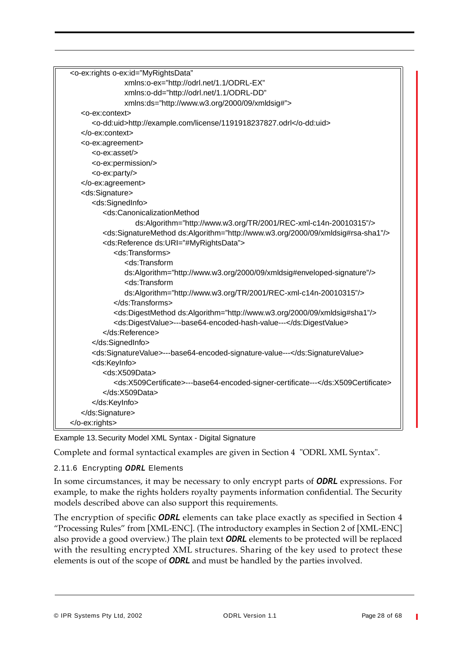| <o-ex:rights <="" o-ex:id="MyRightsData" td=""></o-ex:rights>                                       |
|-----------------------------------------------------------------------------------------------------|
| xmlns:o-ex="http://odrl.net/1.1/ODRL-EX"                                                            |
| xmlns:o-dd="http://odrl.net/1.1/ODRL-DD"                                                            |
| xmlns:ds="http://www.w3.org/2000/09/xmldsig#">                                                      |
| <o-ex:context></o-ex:context>                                                                       |
| <o-dd:uid>http://example.com/license/1191918237827.odrl</o-dd:uid>                                  |
| $<$ /0-ex:context>                                                                                  |
| <o-ex:agreement></o-ex:agreement>                                                                   |
| <o-ex:asset></o-ex:asset>                                                                           |
| <o-ex:permission></o-ex:permission>                                                                 |
| <o-ex:party></o-ex:party>                                                                           |
|                                                                                                     |
| <ds:signature></ds:signature>                                                                       |
| <ds:signedinfo></ds:signedinfo>                                                                     |
| <ds:canonicalizationmethod< td=""></ds:canonicalizationmethod<>                                     |
| ds:Algorithm="http://www.w3.org/TR/2001/REC-xml-c14n-20010315"/>                                    |
| <ds:signaturemethod ds:algorithm="http://www.w3.org/2000/09/xmldsig#rsa-sha1"></ds:signaturemethod> |
| <ds:reference ds:uri="#MyRightsData"></ds:reference>                                                |
| <ds:transforms></ds:transforms>                                                                     |
| <ds:transform< td=""></ds:transform<>                                                               |
| ds:Algorithm="http://www.w3.org/2000/09/xmldsig#enveloped-signature"/>                              |
| <ds:transform< td=""></ds:transform<>                                                               |
| ds:Algorithm="http://www.w3.org/TR/2001/REC-xml-c14n-20010315"/>                                    |
|                                                                                                     |
| <ds:digestmethod ds:algorithm="http://www.w3.org/2000/09/xmldsig#sha1"></ds:digestmethod>           |
| <ds:digestvalue>---base64-encoded-hash-value---</ds:digestvalue>                                    |
|                                                                                                     |
|                                                                                                     |
| <ds:signaturevalue>---base64-encoded-signature-value---</ds:signaturevalue>                         |
| <ds:keyinfo></ds:keyinfo>                                                                           |
| <ds:x509data></ds:x509data>                                                                         |
| <ds:x509certificate>---base64-encoded-signer-certificate---</ds:x509certificate>                    |
|                                                                                                     |
|                                                                                                     |
|                                                                                                     |
|                                                                                                     |
|                                                                                                     |

Example 13.Security Model XML Syntax - Digital Signature

Complete and formal syntactical examples are given in Section 4 "ODRL XML Syntax".

#### 2.11.6 Encrypting *ODRL* Elements

In some circumstances, it may be necessary to only encrypt parts of *ODRL* expressions. For example, to make the rights holders royalty payments information confidential. The Security models described above can also support this requirements.

The encryption of specific *ODRL* elements can take place exactly as specified in Section 4 "Processing Rules" from [XML-ENC]. (The introductory examples in Section 2 of [XML-ENC] also provide a good overview.) The plain text *ODRL* elements to be protected will be replaced with the resulting encrypted XML structures. Sharing of the key used to protect these elements is out of the scope of *ODRL* and must be handled by the parties involved.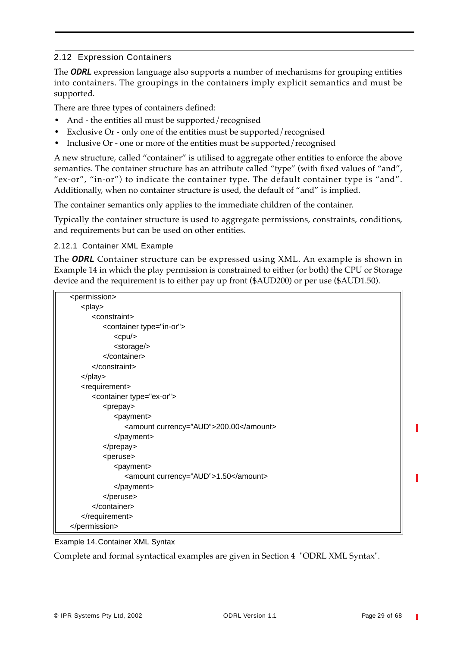# 2.12 Expression Containers

The *ODRL* expression language also supports a number of mechanisms for grouping entities into containers. The groupings in the containers imply explicit semantics and must be supported.

There are three types of containers defined:

- **•** And the entities all must be supported/recognised
- **•** Exclusive Or only one of the entities must be supported/recognised
- **•** Inclusive Or one or more of the entities must be supported/recognised

A new structure, called "container" is utilised to aggregate other entities to enforce the above semantics. The container structure has an attribute called "type" (with fixed values of "and", "ex-or", "in-or") to indicate the container type. The default container type is "and". Additionally, when no container structure is used, the default of "and" is implied.

The container semantics only applies to the immediate children of the container.

Typically the container structure is used to aggregate permissions, constraints, conditions, and requirements but can be used on other entities.

2.12.1 Container XML Example

The *ODRL* Container structure can be expressed using XML. An example is shown in Example 14 in which the play permission is constrained to either (or both) the CPU or Storage device and the requirement is to either pay up front (\$AUD200) or per use (\$AUD1.50).

| <permission></permission>              |
|----------------------------------------|
| <play></play>                          |
| <constraint></constraint>              |
| <container type="in-or"></container>   |
| $<$ cpu $/$                            |
| <storage></storage>                    |
|                                        |
|                                        |
| $<$ /play>                             |
| <requirement></requirement>            |
| <container type="ex-or"></container>   |
| <prepay></prepay>                      |
| <payment></payment>                    |
| <amount currency="AUD">200.00</amount> |
|                                        |
|                                        |
| <peruse></peruse>                      |
| <payment></payment>                    |
| <amount currency="AUD">1.50</amount>   |
|                                        |
|                                        |
|                                        |
|                                        |
|                                        |

#### Example 14.Container XML Syntax

Complete and formal syntactical examples are given in Section 4 "ODRL XML Syntax".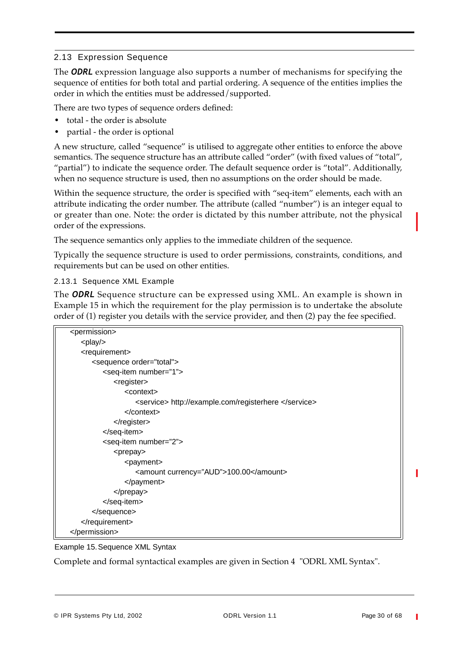# 2.13 Expression Sequence

The *ODRL* expression language also supports a number of mechanisms for specifying the sequence of entities for both total and partial ordering. A sequence of the entities implies the order in which the entities must be addressed/supported.

There are two types of sequence orders defined:

- **•** total the order is absolute
- **•** partial the order is optional

A new structure, called "sequence" is utilised to aggregate other entities to enforce the above semantics. The sequence structure has an attribute called "order" (with fixed values of "total", "partial") to indicate the sequence order. The default sequence order is "total". Additionally, when no sequence structure is used, then no assumptions on the order should be made.

Within the sequence structure, the order is specified with "seq-item" elements, each with an attribute indicating the order number. The attribute (called "number") is an integer equal to or greater than one. Note: the order is dictated by this number attribute, not the physical order of the expressions.

The sequence semantics only applies to the immediate children of the sequence.

Typically the sequence structure is used to order permissions, constraints, conditions, and requirements but can be used on other entities.

2.13.1 Sequence XML Example

The *ODRL* Sequence structure can be expressed using XML. An example is shown in Example 15 in which the requirement for the play permission is to undertake the absolute order of (1) register you details with the service provider, and then (2) pay the fee specified.

#### Example 15.Sequence XML Syntax

Complete and formal syntactical examples are given in Section 4 "ODRL XML Syntax".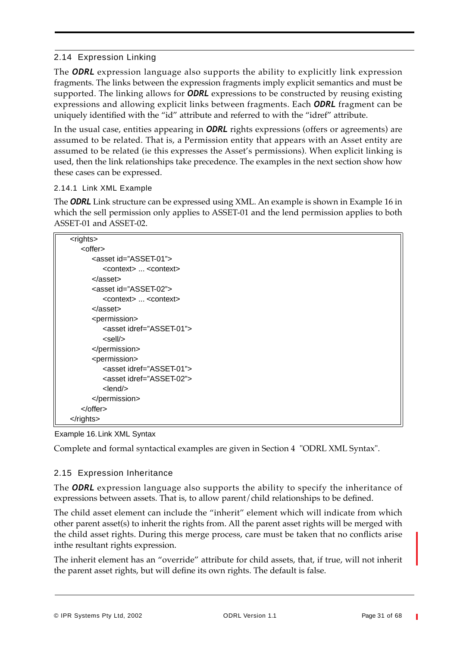# 2.14 Expression Linking

The *ODRL* expression language also supports the ability to explicitly link expression fragments. The links between the expression fragments imply explicit semantics and must be supported. The linking allows for *ODRL* expressions to be constructed by reusing existing expressions and allowing explicit links between fragments. Each *ODRL* fragment can be uniquely identified with the "id" attribute and referred to with the "idref" attribute.

In the usual case, entities appearing in *ODRL* rights expressions (offers or agreements) are assumed to be related. That is, a Permission entity that appears with an Asset entity are assumed to be related (ie this expresses the Asset's permissions). When explicit linking is used, then the link relationships take precedence. The examples in the next section show how these cases can be expressed.

#### 2.14.1 Link XML Example

The *ODRL* Link structure can be expressed using XML. An example is shown in Example 16 in which the sell permission only applies to ASSET-01 and the lend permission applies to both ASSET-01 and ASSET-02.

| <rights></rights>                       |
|-----------------------------------------|
| <offer></offer>                         |
| <asset id="ASSET-01"></asset>           |
| <context> <context></context></context> |
| $<$ /asset $>$                          |
| <asset id="ASSET-02"></asset>           |
| <context> <context></context></context> |
| $<$ /asset $>$                          |
| <permission></permission>               |
| <asset idref="ASSET-01"></asset>        |
| $<$ sell $/$                            |
|                                         |
| <permission></permission>               |
| <asset idref="ASSET-01"></asset>        |
| <asset idref="ASSET-02"></asset>        |
| $<$ lend $>$                            |
|                                         |
| $\alpha$ /offer                         |
| $\langle$ rights>                       |

#### Example 16.Link XML Syntax

Complete and formal syntactical examples are given in Section 4 "ODRL XML Syntax".

# 2.15 Expression Inheritance

The *ODRL* expression language also supports the ability to specify the inheritance of expressions between assets. That is, to allow parent/child relationships to be defined.

The child asset element can include the "inherit" element which will indicate from which other parent asset(s) to inherit the rights from. All the parent asset rights will be merged with the child asset rights. During this merge process, care must be taken that no conflicts arise inthe resultant rights expression.

The inherit element has an "override" attribute for child assets, that, if true, will not inherit the parent asset rights, but will define its own rights. The default is false.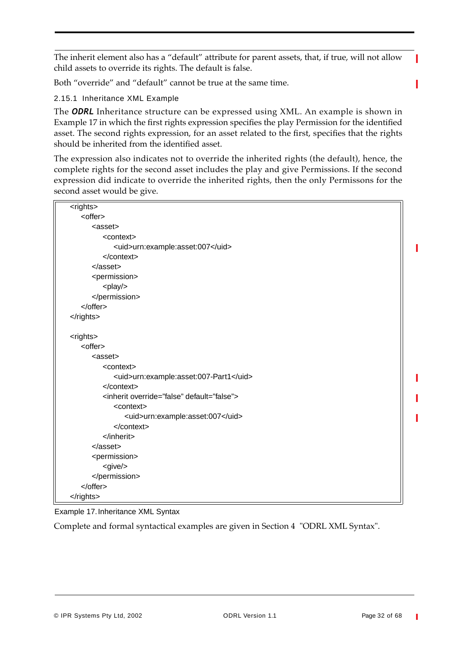The inherit element also has a "default" attribute for parent assets, that, if true, will not allow child assets to override its rights. The default is false.

Both "override" and "default" cannot be true at the same time.

2.15.1 Inheritance XML Example

The *ODRL* Inheritance structure can be expressed using XML. An example is shown in Example 17 in which the first rights expression specifies the play Permission for the identified asset. The second rights expression, for an asset related to the first, specifies that the rights should be inherited from the identified asset.

The expression also indicates not to override the inherited rights (the default), hence, the complete rights for the second asset includes the play and give Permissions. If the second expression did indicate to override the inherited rights, then the only Permissons for the second asset would be give.

| <rights></rights>                                    |
|------------------------------------------------------|
| <offer></offer>                                      |
| <asset></asset>                                      |
| <context></context>                                  |
| <uid>urn:example:asset:007</uid>                     |
| $<$ /context>                                        |
| $<$ /asset $>$                                       |
| <permission></permission>                            |
| <play></play>                                        |
|                                                      |
|                                                      |
|                                                      |
|                                                      |
| <rights></rights>                                    |
| <offer></offer>                                      |
| <asset></asset>                                      |
| <context></context>                                  |
| <uid>urn:example:asset:007-Part1</uid>               |
|                                                      |
| <inherit default="false" override="false"></inherit> |
| <context></context>                                  |
| <uid>urn:example:asset:007</uid>                     |
|                                                      |
|                                                      |
| $<$ /asset $>$                                       |
| <permission></permission>                            |
| $<$ give $/$                                         |
|                                                      |
|                                                      |
|                                                      |

Example 17.Inheritance XML Syntax

Complete and formal syntactical examples are given in Section 4 "ODRL XML Syntax".

П

I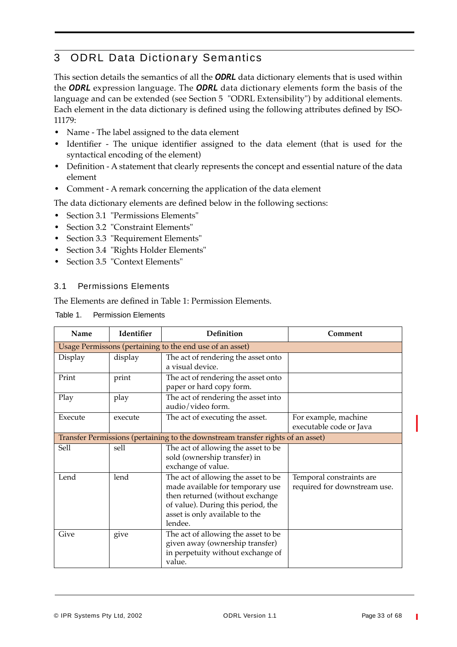# 3 ODRL Data Dictionary Semantics

This section details the semantics of all the *ODRL* data dictionary elements that is used within the *ODRL* expression language. The *ODRL* data dictionary elements form the basis of the language and can be extended (see Section 5 "ODRL Extensibility") by additional elements. Each element in the data dictionary is defined using the following attributes defined by ISO-11179:

- **•** Name The label assigned to the data element
- **•** Identifier The unique identifier assigned to the data element (that is used for the syntactical encoding of the element)
- **•** Definition A statement that clearly represents the concept and essential nature of the data element
- **•** Comment A remark concerning the application of the data element

The data dictionary elements are defined below in the following sections:

- **•** Section 3.1 "Permissions Elements"
- **•** Section 3.2 "Constraint Elements"
- **•** Section 3.3 "Requirement Elements"
- **•** Section 3.4 "Rights Holder Elements"
- **•** Section 3.5 "Context Elements"

#### 3.1 Permissions Elements

The Elements are defined in Table 1: Permission Elements.

| Table 1. |  | <b>Permission Elements</b> |
|----------|--|----------------------------|
|----------|--|----------------------------|

| Name    | Identifier | Definition                                                                                                                                                                                    | Comment                                                  |
|---------|------------|-----------------------------------------------------------------------------------------------------------------------------------------------------------------------------------------------|----------------------------------------------------------|
|         |            | Usage Permissons (pertaining to the end use of an asset)                                                                                                                                      |                                                          |
| Display | display    | The act of rendering the asset onto<br>a visual device.                                                                                                                                       |                                                          |
| Print   | print      | The act of rendering the asset onto<br>paper or hard copy form.                                                                                                                               |                                                          |
| Play    | play       | The act of rendering the asset into<br>audio/video form.                                                                                                                                      |                                                          |
| Execute | execute    | The act of executing the asset.                                                                                                                                                               | For example, machine<br>executable code or Java          |
|         |            | Transfer Permissions (pertaining to the downstream transfer rights of an asset)                                                                                                               |                                                          |
| Sell    | sell       | The act of allowing the asset to be<br>sold (ownership transfer) in<br>exchange of value.                                                                                                     |                                                          |
| Lend    | lend       | The act of allowing the asset to be<br>made available for temporary use<br>then returned (without exchange<br>of value). During this period, the<br>asset is only available to the<br>lendee. | Temporal constraints are<br>required for downstream use. |
| Give    | give       | The act of allowing the asset to be<br>given away (ownership transfer)<br>in perpetuity without exchange of<br>value.                                                                         |                                                          |

T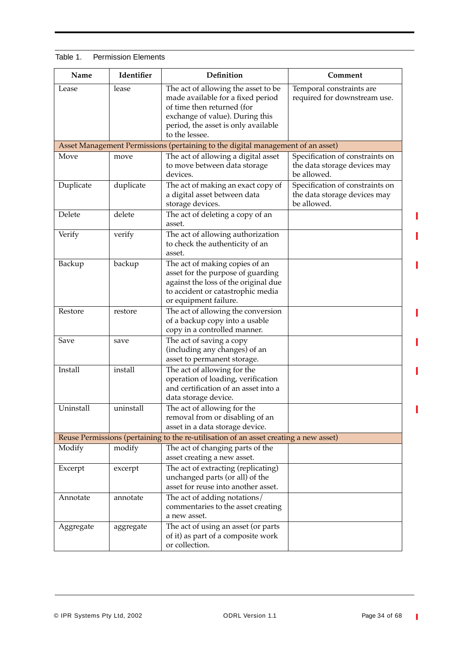| Name      | Identifier | Definition                                                                                                                                                                                         | Comment                                                                        |
|-----------|------------|----------------------------------------------------------------------------------------------------------------------------------------------------------------------------------------------------|--------------------------------------------------------------------------------|
| Lease     | lease      | The act of allowing the asset to be<br>made available for a fixed period<br>of time then returned (for<br>exchange of value). During this<br>period, the asset is only available<br>to the lessee. | Temporal constraints are<br>required for downstream use.                       |
|           |            | Asset Management Permissions (pertaining to the digital management of an asset)                                                                                                                    |                                                                                |
| Move      | move       | The act of allowing a digital asset<br>to move between data storage<br>devices.                                                                                                                    | Specification of constraints on<br>the data storage devices may<br>be allowed. |
| Duplicate | duplicate  | The act of making an exact copy of<br>a digital asset between data<br>storage devices.                                                                                                             | Specification of constraints on<br>the data storage devices may<br>be allowed. |
| Delete    | delete     | The act of deleting a copy of an<br>asset.                                                                                                                                                         |                                                                                |
| Verify    | verify     | The act of allowing authorization<br>to check the authenticity of an<br>asset.                                                                                                                     |                                                                                |
| Backup    | backup     | The act of making copies of an<br>asset for the purpose of guarding<br>against the loss of the original due<br>to accident or catastrophic media<br>or equipment failure.                          |                                                                                |
| Restore   | restore    | The act of allowing the conversion<br>of a backup copy into a usable<br>copy in a controlled manner.                                                                                               |                                                                                |
| Save      | save       | The act of saving a copy<br>(including any changes) of an<br>asset to permanent storage.                                                                                                           |                                                                                |
| Install   | install    | The act of allowing for the<br>operation of loading, verification<br>and certification of an asset into a<br>data storage device.                                                                  |                                                                                |
| Uninstall | uninstall  | The act of allowing for the<br>removal from or disabling of an<br>asset in a data storage device.                                                                                                  |                                                                                |
|           |            | Reuse Permissions (pertaining to the re-utilisation of an asset creating a new asset)                                                                                                              |                                                                                |
| Modify    | modify     | The act of changing parts of the<br>asset creating a new asset.                                                                                                                                    |                                                                                |
| Excerpt   | excerpt    | The act of extracting (replicating)<br>unchanged parts (or all) of the<br>asset for reuse into another asset.                                                                                      |                                                                                |
| Annotate  | annotate   | The act of adding notations/<br>commentaries to the asset creating<br>a new asset.                                                                                                                 |                                                                                |
| Aggregate | aggregate  | The act of using an asset (or parts<br>of it) as part of a composite work<br>or collection.                                                                                                        |                                                                                |

# Table 1. Permission Elements

 $\overline{\phantom{a}}$ 

П

T

I

I

П

T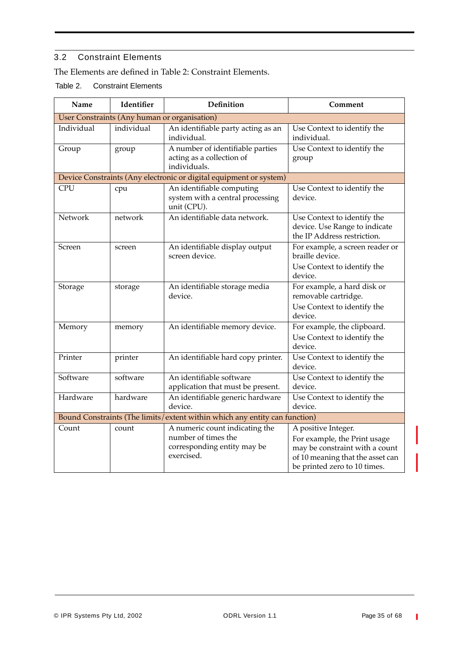# 3.2 Constraint Elements

The Elements are defined in Table 2: Constraint Elements.

Table 2. Constraint Elements

| Name       | Identifier | Definition                                                                    | Comment                                                                                     |
|------------|------------|-------------------------------------------------------------------------------|---------------------------------------------------------------------------------------------|
|            |            | User Constraints (Any human or organisation)                                  |                                                                                             |
| Individual | individual | An identifiable party acting as an<br>individual.                             | Use Context to identify the<br>individual.                                                  |
| Group      | group      | A number of identifiable parties<br>acting as a collection of<br>individuals. | Use Context to identify the<br>group                                                        |
|            |            | Device Constraints (Any electronic or digital equipment or system)            |                                                                                             |
| <b>CPU</b> | cpu        | An identifiable computing<br>system with a central processing<br>unit (CPU).  | Use Context to identify the<br>device.                                                      |
| Network    | network    | An identifiable data network.                                                 | Use Context to identify the<br>device. Use Range to indicate<br>the IP Address restriction. |
| Screen     | screen     | An identifiable display output<br>screen device.                              | For example, a screen reader or<br>braille device.                                          |
|            |            |                                                                               | Use Context to identify the<br>device.                                                      |
| Storage    | storage    | An identifiable storage media<br>device.                                      | For example, a hard disk or<br>removable cartridge.                                         |
|            |            |                                                                               | Use Context to identify the<br>device.                                                      |
| Memory     | memory     | An identifiable memory device.                                                | For example, the clipboard.                                                                 |
|            |            |                                                                               | Use Context to identify the<br>device.                                                      |
| Printer    | printer    | An identifiable hard copy printer.                                            | Use Context to identify the<br>device.                                                      |
| Software   | software   | An identifiable software<br>application that must be present.                 | Use Context to identify the<br>device.                                                      |
| Hardware   | hardware   | An identifiable generic hardware<br>device.                                   | Use Context to identify the<br>device.                                                      |
|            |            | Bound Constraints (The limits/extent within which any entity can function)    |                                                                                             |
| Count      | count      | A numeric count indicating the                                                | A positive Integer.                                                                         |
|            |            | number of times the                                                           | For example, the Print usage                                                                |
|            |            | corresponding entity may be                                                   | may be constraint with a count                                                              |
|            |            | exercised.                                                                    | of 10 meaning that the asset can<br>be printed zero to 10 times.                            |

 $\blacksquare$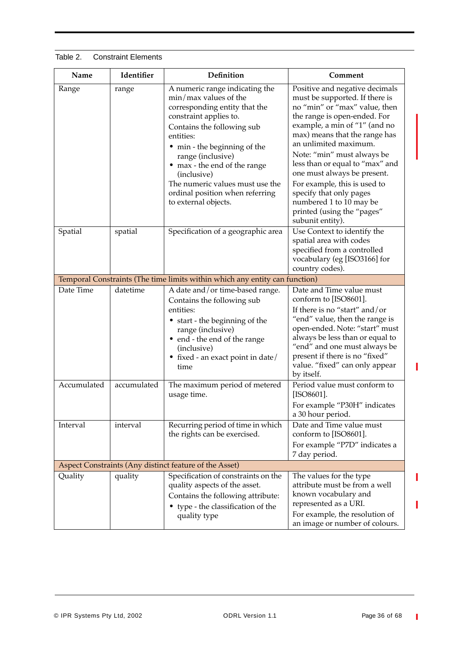| Table 2.<br><b>Constraint Elements</b> |
|----------------------------------------|
|----------------------------------------|

| Name        | Identifier  | Definition                                                                                                                                                                                                                                                                                                                                                        | Comment                                                                                                                                                                                                                                                                                                                                                                                                                                                              |
|-------------|-------------|-------------------------------------------------------------------------------------------------------------------------------------------------------------------------------------------------------------------------------------------------------------------------------------------------------------------------------------------------------------------|----------------------------------------------------------------------------------------------------------------------------------------------------------------------------------------------------------------------------------------------------------------------------------------------------------------------------------------------------------------------------------------------------------------------------------------------------------------------|
| Range       | range       | A numeric range indicating the<br>$min/max$ values of the<br>corresponding entity that the<br>constraint applies to.<br>Contains the following sub<br>entities:<br>• min - the beginning of the<br>range (inclusive)<br>• max - the end of the range<br>(inclusive)<br>The numeric values must use the<br>ordinal position when referring<br>to external objects. | Positive and negative decimals<br>must be supported. If there is<br>no "min" or "max" value, then<br>the range is open-ended. For<br>example, a min of "1" (and no<br>max) means that the range has<br>an unlimited maximum.<br>Note: "min" must always be<br>less than or equal to "max" and<br>one must always be present.<br>For example, this is used to<br>specify that only pages<br>numbered 1 to 10 may be<br>printed (using the "pages"<br>subunit entity). |
| Spatial     | spatial     | Specification of a geographic area                                                                                                                                                                                                                                                                                                                                | Use Context to identify the<br>spatial area with codes<br>specified from a controlled<br>vocabulary (eg [ISO3166] for<br>country codes).                                                                                                                                                                                                                                                                                                                             |
|             |             | Temporal Constraints (The time limits within which any entity can function)                                                                                                                                                                                                                                                                                       |                                                                                                                                                                                                                                                                                                                                                                                                                                                                      |
| Date Time   | datetime    | A date and/or time-based range.<br>Contains the following sub<br>entities:<br>• start - the beginning of the<br>range (inclusive)<br>• end - the end of the range<br>(inclusive)<br>• fixed - an exact point in date/<br>time                                                                                                                                     | Date and Time value must<br>conform to [ISO8601].<br>If there is no "start" and/or<br>"end" value, then the range is<br>open-ended. Note: "start" must<br>always be less than or equal to<br>"end" and one must always be<br>present if there is no "fixed"<br>value. "fixed" can only appear<br>by itself.                                                                                                                                                          |
| Accumulated | accumulated | The maximum period of metered<br>usage time.                                                                                                                                                                                                                                                                                                                      | Period value must conform to<br>[ISO8601].<br>For example "P30H" indicates<br>a 30 hour period.                                                                                                                                                                                                                                                                                                                                                                      |
| Interval    | interval    | Recurring period of time in which<br>the rights can be exercised.                                                                                                                                                                                                                                                                                                 | Date and Time value must<br>conform to [ISO8601].<br>For example "P7D" indicates a<br>7 day period.                                                                                                                                                                                                                                                                                                                                                                  |
|             |             | Aspect Constraints (Any distinct feature of the Asset)                                                                                                                                                                                                                                                                                                            |                                                                                                                                                                                                                                                                                                                                                                                                                                                                      |
| Quality     | quality     | Specification of constraints on the<br>quality aspects of the asset.<br>Contains the following attribute:<br>• type - the classification of the<br>quality type                                                                                                                                                                                                   | The values for the type<br>attribute must be from a well<br>known vocabulary and<br>represented as a URI.<br>For example, the resolution of<br>an image or number of colours.                                                                                                                                                                                                                                                                                        |

Ī

I

Π

 $\overline{\phantom{a}}$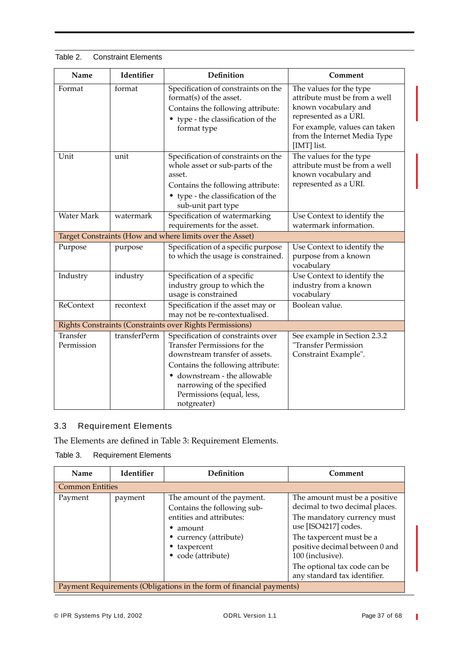| Name                   | Identifier   | Definition                                                                                                                                                                                                                                         | Comment                                                                                                                                                                                   |
|------------------------|--------------|----------------------------------------------------------------------------------------------------------------------------------------------------------------------------------------------------------------------------------------------------|-------------------------------------------------------------------------------------------------------------------------------------------------------------------------------------------|
| Format                 | format       | Specification of constraints on the<br>format(s) of the asset.<br>Contains the following attribute:<br>• type - the classification of the<br>format type                                                                                           | The values for the type<br>attribute must be from a well<br>known vocabulary and<br>represented as a URI.<br>For example, values can taken<br>from the Internet Media Type<br>[IMT] list. |
| Unit                   | unit         | Specification of constraints on the<br>whole asset or sub-parts of the<br>asset.<br>Contains the following attribute:<br>• type - the classification of the<br>sub-unit part type                                                                  | The values for the type<br>attribute must be from a well<br>known vocabulary and<br>represented as a URI.                                                                                 |
| <b>Water Mark</b>      | watermark    | Specification of watermarking<br>requirements for the asset.                                                                                                                                                                                       | Use Context to identify the<br>watermark information.                                                                                                                                     |
|                        |              | Target Constraints (How and where limits over the Asset)                                                                                                                                                                                           |                                                                                                                                                                                           |
| Purpose                | purpose      | Specification of a specific purpose<br>to which the usage is constrained.                                                                                                                                                                          | Use Context to identify the<br>purpose from a known<br>vocabulary                                                                                                                         |
| Industry               | industry     | Specification of a specific<br>industry group to which the<br>usage is constrained                                                                                                                                                                 | Use Context to identify the<br>industry from a known<br>vocabulary                                                                                                                        |
| <b>ReContext</b>       | recontext    | Specification if the asset may or<br>may not be re-contextualised.                                                                                                                                                                                 | Boolean value.                                                                                                                                                                            |
|                        |              | Rights Constraints (Constraints over Rights Permissions)                                                                                                                                                                                           |                                                                                                                                                                                           |
| Transfer<br>Permission | transferPerm | Specification of constraints over<br>Transfer Permissions for the<br>downstream transfer of assets.<br>Contains the following attribute:<br>• downstream - the allowable<br>narrowing of the specified<br>Permissions (equal, less,<br>notgreater) | See example in Section 2.3.2<br>"Transfer Permission<br>Constraint Example".                                                                                                              |

#### Table 2. Constraint Elements

# 3.3 Requirement Elements

The Elements are defined in Table 3: Requirement Elements.

# Table 3. Requirement Elements

| Name                                                                 | <b>Identifier</b> | Definition                                                                                                                                                              | Comment                                                                                                                                                                                                                                                                  |
|----------------------------------------------------------------------|-------------------|-------------------------------------------------------------------------------------------------------------------------------------------------------------------------|--------------------------------------------------------------------------------------------------------------------------------------------------------------------------------------------------------------------------------------------------------------------------|
| <b>Common Entities</b>                                               |                   |                                                                                                                                                                         |                                                                                                                                                                                                                                                                          |
| Payment                                                              | payment           | The amount of the payment.<br>Contains the following sub-<br>entities and attributes:<br>amount<br>• currency (attribute)<br>$\bullet$ taxpercent<br>• code (attribute) | The amount must be a positive<br>decimal to two decimal places.<br>The mandatory currency must<br>use [ISO4217] codes.<br>The taxpercent must be a<br>positive decimal between 0 and<br>100 (inclusive).<br>The optional tax code can be<br>any standard tax identifier. |
| Payment Requirements (Obligations in the form of financial payments) |                   |                                                                                                                                                                         |                                                                                                                                                                                                                                                                          |

 $\mathbb T$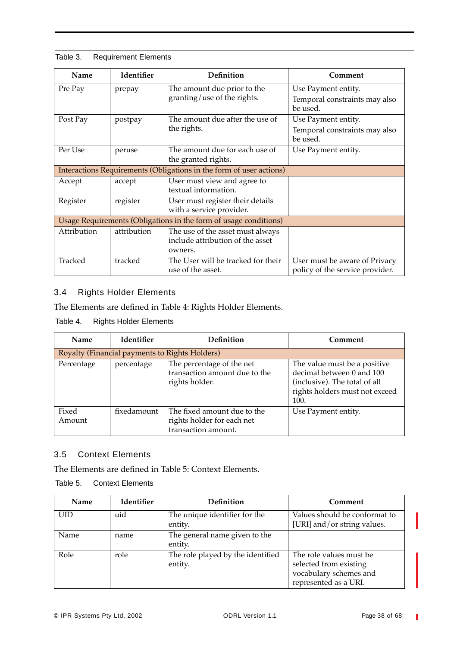| Name                                                                | <b>Identifier</b> | Definition                         | Comment                                   |
|---------------------------------------------------------------------|-------------------|------------------------------------|-------------------------------------------|
| Pre Pay                                                             | prepay            | The amount due prior to the        | Use Payment entity.                       |
|                                                                     |                   | granting/use of the rights.        | Temporal constraints may also<br>be used. |
| Post Pay                                                            | postpay           | The amount due after the use of    | Use Payment entity.                       |
|                                                                     |                   | the rights.                        | Temporal constraints may also<br>be used. |
| Per Use                                                             | peruse            | The amount due for each use of     | Use Payment entity.                       |
|                                                                     |                   | the granted rights.                |                                           |
| Interactions Requirements (Obligations in the form of user actions) |                   |                                    |                                           |
| Accept                                                              | accept            | User must view and agree to        |                                           |
|                                                                     |                   | textual information.               |                                           |
| Register                                                            | register          | User must register their details   |                                           |
|                                                                     |                   | with a service provider.           |                                           |
| Usage Requirements (Obligations in the form of usage conditions)    |                   |                                    |                                           |
| Attribution                                                         | attribution       | The use of the asset must always   |                                           |
|                                                                     |                   | include attribution of the asset   |                                           |
|                                                                     |                   | owners.                            |                                           |
| Tracked                                                             | tracked           | The User will be tracked for their | User must be aware of Privacy             |
|                                                                     |                   | use of the asset.                  | policy of the service provider.           |

Table 3. Requirement Elements

# 3.4 Rights Holder Elements

The Elements are defined in Table 4: Rights Holder Elements.

Table 4. Rights Holder Elements

| Name            | <b>Identifier</b> | <b>Definition</b>                                                                | Comment                                                                                                                              |
|-----------------|-------------------|----------------------------------------------------------------------------------|--------------------------------------------------------------------------------------------------------------------------------------|
|                 |                   | Royalty (Financial payments to Rights Holders)                                   |                                                                                                                                      |
| Percentage      | percentage        | The percentage of the net<br>transaction amount due to the<br>rights holder.     | The value must be a positive<br>decimal between 0 and 100<br>(inclusive). The total of all<br>rights holders must not exceed<br>100. |
| Fixed<br>Amount | fixedamount       | The fixed amount due to the<br>rights holder for each net<br>transaction amount. | Use Payment entity.                                                                                                                  |

# 3.5 Context Elements

The Elements are defined in Table 5: Context Elements.

Table 5. Context Elements

| Name | <b>Identifier</b> | Definition                                   | Comment                                                                                              |
|------|-------------------|----------------------------------------------|------------------------------------------------------------------------------------------------------|
| UID  | uid               | The unique identifier for the<br>entity.     | Values should be conformat to<br>[URI] and/or string values.                                         |
| Name | name              | The general name given to the<br>entity.     |                                                                                                      |
| Role | role              | The role played by the identified<br>entity. | The role values must be<br>selected from existing<br>vocabulary schemes and<br>represented as a URI. |

Ī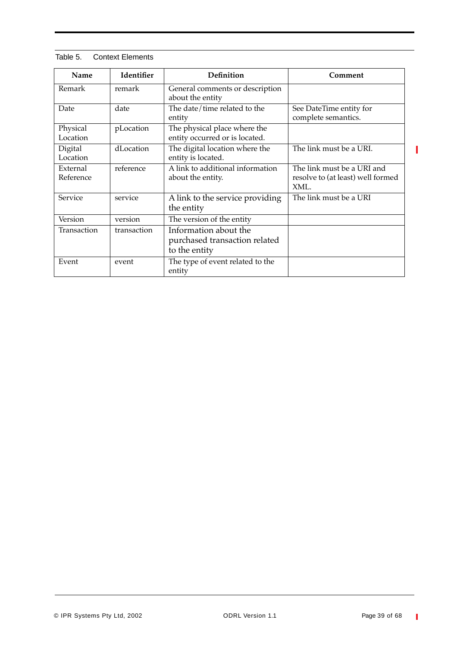| Name                  | Identifier  | Definition                                                              | Comment                                                                 |
|-----------------------|-------------|-------------------------------------------------------------------------|-------------------------------------------------------------------------|
| Remark                | remark      | General comments or description<br>about the entity                     |                                                                         |
| Date                  | date        | The date/time related to the<br>entity                                  | See DateTime entity for<br>complete semantics.                          |
| Physical<br>Location  | pLocation   | The physical place where the<br>entity occurred or is located.          |                                                                         |
| Digital<br>Location   | dLocation   | The digital location where the<br>entity is located.                    | The link must be a URI.                                                 |
| External<br>Reference | reference   | A link to additional information<br>about the entity.                   | The link must be a URI and<br>resolve to (at least) well formed<br>XML. |
| Service               | service     | A link to the service providing<br>the entity                           | The link must be a URI                                                  |
| Version               | version     | The version of the entity                                               |                                                                         |
| Transaction           | transaction | Information about the<br>purchased transaction related<br>to the entity |                                                                         |
| Event                 | event       | The type of event related to the<br>entity                              |                                                                         |

| Table 5. | <b>Context Elements</b> |
|----------|-------------------------|
|          |                         |

 $\overline{\phantom{a}}$ 

 $\mathbf{I}$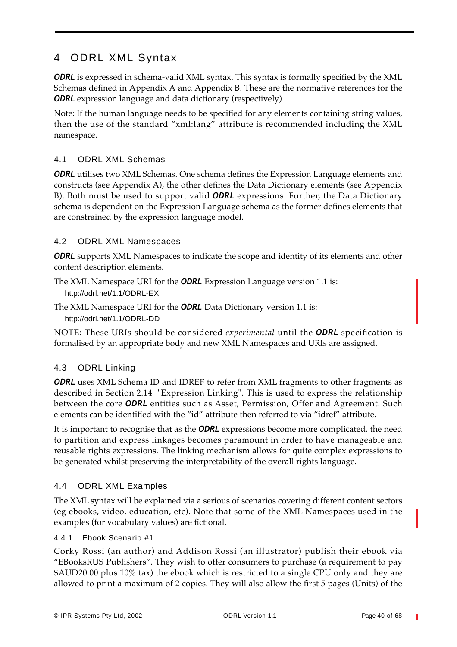# 4 ODRL XML Syntax

**ODRL** is expressed in schema-valid XML syntax. This syntax is formally specified by the XML Schemas defined in Appendix A and Appendix B. These are the normative references for the *ODRL* expression language and data dictionary (respectively).

Note: If the human language needs to be specified for any elements containing string values, then the use of the standard "xml:lang" attribute is recommended including the XML namespace.

# 4.1 ODRL XML Schemas

**ODRL** utilises two XML Schemas. One schema defines the Expression Language elements and constructs (see Appendix A), the other defines the Data Dictionary elements (see Appendix B). Both must be used to support valid *ODRL* expressions. Further, the Data Dictionary schema is dependent on the Expression Language schema as the former defines elements that are constrained by the expression language model.

# 4.2 ODRL XML Namespaces

*ODRL* supports XML Namespaces to indicate the scope and identity of its elements and other content description elements.

The XML Namespace URI for the *ODRL* Expression Language version 1.1 is: http://odrl.net/1.1/ODRL-EX

The XML Namespace URI for the *ODRL* Data Dictionary version 1.1 is: http://odrl.net/1.1/ODRL-DD

NOTE: These URIs should be considered *experimental* until the *ODRL* specification is formalised by an appropriate body and new XML Namespaces and URIs are assigned.

# 4.3 ODRL Linking

**ODRL** uses XML Schema ID and IDREF to refer from XML fragments to other fragments as described in Section 2.14 "Expression Linking". This is used to express the relationship between the core *ODRL* entities such as Asset, Permission, Offer and Agreement. Such elements can be identified with the "id" attribute then referred to via "idref" attribute.

It is important to recognise that as the *ODRL* expressions become more complicated, the need to partition and express linkages becomes paramount in order to have manageable and reusable rights expressions. The linking mechanism allows for quite complex expressions to be generated whilst preserving the interpretability of the overall rights language.

# 4.4 ODRL XML Examples

The XML syntax will be explained via a serious of scenarios covering different content sectors (eg ebooks, video, education, etc). Note that some of the XML Namespaces used in the examples (for vocabulary values) are fictional.

#### 4.4.1 Ebook Scenario #1

Corky Rossi (an author) and Addison Rossi (an illustrator) publish their ebook via "EBooksRUS Publishers". They wish to offer consumers to purchase (a requirement to pay  $$AUD20.00$  plus  $10\%$  tax) the ebook which is restricted to a single CPU only and they are allowed to print a maximum of 2 copies. They will also allow the first 5 pages (Units) of the

© IPR Systems Pty Ltd, 2002 ODRL Version 1.1 Page 40 of 68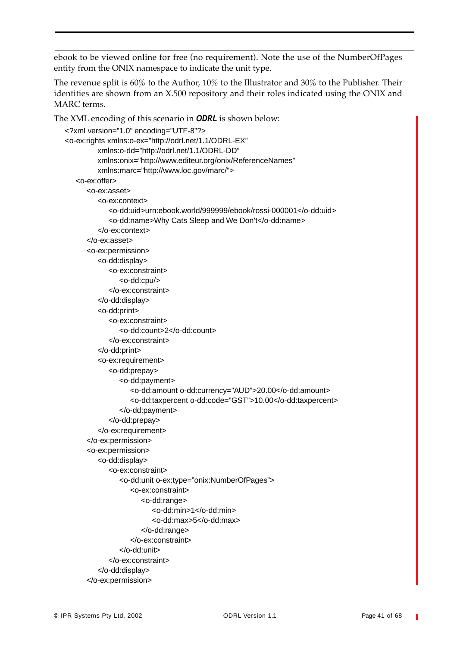ebook to be viewed online for free (no requirement). Note the use of the NumberOfPages entity from the ONIX namespace to indicate the unit type.

The revenue split is 60% to the Author, 10% to the Illustrator and 30% to the Publisher. Their identities are shown from an X.500 repository and their roles indicated using the ONIX and MARC terms.

The XML encoding of this scenario in *ODRL* is shown below:

```
<?xml version="1.0" encoding="UTF-8"?>
<o-ex:rights xmlns:o-ex="http://odrl.net/1.1/ODRL-EX"
         xmlns:o-dd="http://odrl.net/1.1/ODRL-DD"
         xmlns:onix="http://www.editeur.org/onix/ReferenceNames"
         xmlns:marc="http://www.loc.gov/marc/">
   <o-ex:offer>
      <o-ex:asset>
         <o-ex:context>
            <o-dd:uid>urn:ebook.world/999999/ebook/rossi-000001</o-dd:uid>
            <o-dd:name>Why Cats Sleep and We Don't</o-dd:name>
         </o-ex:context>
      </o-ex:asset>
      <o-ex:permission>
         <o-dd:display>
            <o-ex:constraint>
               <o-dd:cpu/>
            </o-ex:constraint>
         </o-dd:display>
         <o-dd:print>
            <o-ex:constraint>
               <o-dd:count>2</o-dd:count>
            </o-ex:constraint>
         </o-dd:print>
         <o-ex:requirement>
            <o-dd:prepay>
               <o-dd:payment>
                  <o-dd:amount o-dd:currency="AUD">20.00</o-dd:amount>
                  <o-dd:taxpercent o-dd:code="GST">10.00</o-dd:taxpercent>
               </o-dd:payment>
            </o-dd:prepay>
         </o-ex:requirement>
      </o-ex:permission>
      <o-ex:permission>
         <o-dd:display>
            <o-ex:constraint>
               <o-dd:unit o-ex:type="onix:NumberOfPages">
                  <o-ex:constraint>
                     <o-dd:range>
                        <o-dd:min>1</o-dd:min>
                        <o-dd:max>5</o-dd:max>
                     </o-dd:range>
                  </o-ex:constraint>
               </o-dd:unit>
            </o-ex:constraint>
         </o-dd:display>
      </o-ex:permission>
```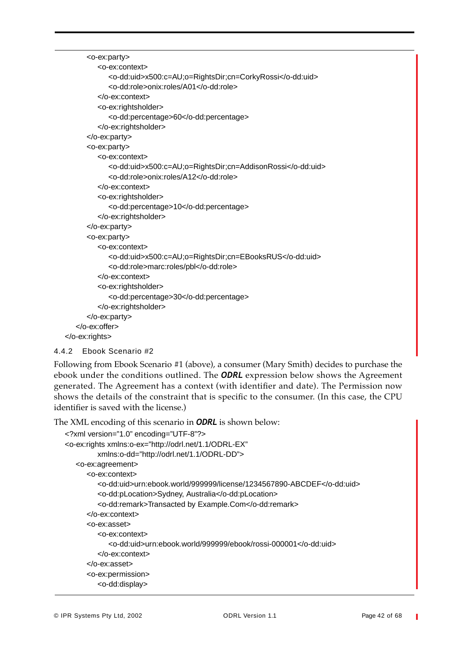```
<o-ex:party>
         <o-ex:context>
            <o-dd:uid>x500:c=AU;o=RightsDir;cn=CorkyRossi</o-dd:uid>
            <o-dd:role>onix:roles/A01</o-dd:role>
         </o-ex:context>
         <o-ex:rightsholder>
            <o-dd:percentage>60</o-dd:percentage>
         </o-ex:rightsholder>
      </o-ex:party>
      <o-ex:party>
         <o-ex:context>
            <o-dd:uid>x500:c=AU;o=RightsDir;cn=AddisonRossi</o-dd:uid>
            <o-dd:role>onix:roles/A12</o-dd:role>
         </o-ex:context>
         <o-ex:rightsholder>
            <o-dd:percentage>10</o-dd:percentage>
         </o-ex:rightsholder>
      </o-ex:party>
      <o-ex:party>
         <o-ex:context>
            <o-dd:uid>x500:c=AU;o=RightsDir;cn=EBooksRUS</o-dd:uid>
            <o-dd:role>marc:roles/pbl</o-dd:role>
         </o-ex:context>
         <o-ex:rightsholder>
            <o-dd:percentage>30</o-dd:percentage>
         </o-ex:rightsholder>
      </o-ex:party>
   </o-ex:offer>
</o-ex:rights>
```

```
4.4.2 Ebook Scenario #2
```
Following from Ebook Scenario #1 (above), a consumer (Mary Smith) decides to purchase the ebook under the conditions outlined. The *ODRL* expression below shows the Agreement generated. The Agreement has a context (with identifier and date). The Permission now shows the details of the constraint that is specific to the consumer. (In this case, the CPU identifier is saved with the license.)

The XML encoding of this scenario in *ODRL* is shown below:

```
<?xml version="1.0" encoding="UTF-8"?>
<o-ex:rights xmlns:o-ex="http://odrl.net/1.1/ODRL-EX"
         xmlns:o-dd="http://odrl.net/1.1/ODRL-DD">
   <o-ex:agreement>
      <o-ex:context>
         <o-dd:uid>urn:ebook.world/999999/license/1234567890-ABCDEF</o-dd:uid>
         <o-dd:pLocation>Sydney, Australia</o-dd:pLocation>
         <o-dd:remark>Transacted by Example.Com</o-dd:remark>
      </o-ex:context>
      <o-ex:asset>
         <o-ex:context>
            <o-dd:uid>urn:ebook.world/999999/ebook/rossi-000001</o-dd:uid>
         </o-ex:context>
      </o-ex:asset>
      <o-ex:permission>
         <o-dd:display>
```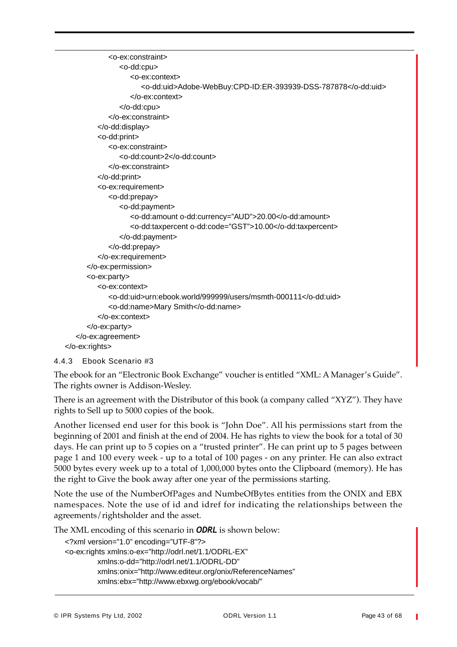```
<o-ex:constraint>
               <o-dd:cpu>
                  <o-ex:context>
                     <o-dd:uid>Adobe-WebBuy:CPD-ID:ER-393939-DSS-787878</o-dd:uid>
                  </o-ex:context>
               </o-dd:cpu>
            </o-ex:constraint>
         </o-dd:display>
         <o-dd:print>
            <o-ex:constraint>
               <o-dd:count>2</o-dd:count>
            </o-ex:constraint>
         </o-dd:print>
         <o-ex:requirement>
            <o-dd:prepay>
               <o-dd:payment>
                  <o-dd:amount o-dd:currency="AUD">20.00</o-dd:amount>
                  <o-dd:taxpercent o-dd:code="GST">10.00</o-dd:taxpercent>
               </o-dd:payment>
            </o-dd:prepay>
         </o-ex:requirement>
      </o-ex:permission>
      <o-ex:party>
         <o-ex:context>
            <o-dd:uid>urn:ebook.world/999999/users/msmth-000111</o-dd:uid>
            <o-dd:name>Mary Smith</o-dd:name>
         </o-ex:context>
      </o-ex:party>
   </o-ex:agreement>
</o-ex:rights>
```

```
4.4.3 Ebook Scenario #3
```
The ebook for an "Electronic Book Exchange" voucher is entitled "XML: A Manager's Guide". The rights owner is Addison-Wesley.

There is an agreement with the Distributor of this book (a company called "XYZ"). They have rights to Sell up to 5000 copies of the book.

Another licensed end user for this book is "John Doe". All his permissions start from the beginning of 2001 and finish at the end of 2004. He has rights to view the book for a total of 30 days. He can print up to 5 copies on a "trusted printer". He can print up to 5 pages between page 1 and 100 every week - up to a total of 100 pages - on any printer. He can also extract 5000 bytes every week up to a total of 1,000,000 bytes onto the Clipboard (memory). He has the right to Give the book away after one year of the permissions starting.

Note the use of the NumberOfPages and NumbeOfBytes entities from the ONIX and EBX namespaces. Note the use of id and idref for indicating the relationships between the agreements/rightsholder and the asset.

The XML encoding of this scenario in *ODRL* is shown below:

```
<?xml version="1.0" encoding="UTF-8"?>
<o-ex:rights xmlns:o-ex="http://odrl.net/1.1/ODRL-EX"
         xmlns:o-dd="http://odrl.net/1.1/ODRL-DD"
         xmlns:onix="http://www.editeur.org/onix/ReferenceNames"
         xmlns:ebx="http://www.ebxwg.org/ebook/vocab/"
```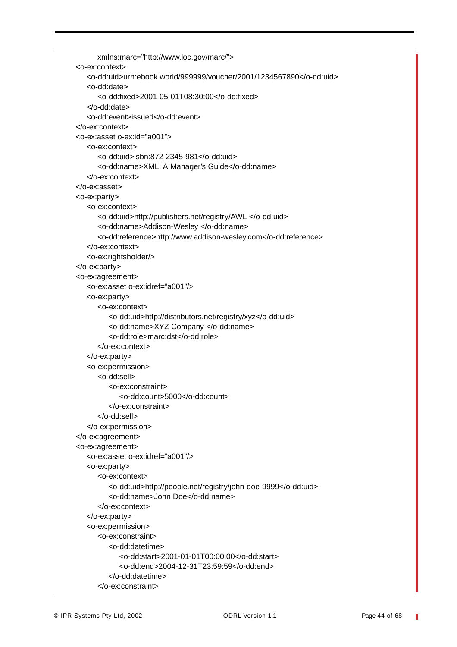```
xmlns:marc="http://www.loc.gov/marc/">
<o-ex:context>
   <o-dd:uid>urn:ebook.world/999999/voucher/2001/1234567890</o-dd:uid>
   <o-dd:date>
      <o-dd:fixed>2001-05-01T08:30:00</o-dd:fixed>
   </o-dd:date>
   <o-dd:event>issued</o-dd:event>
</o-ex:context>
<o-ex:asset o-ex:id="a001">
   <o-ex:context>
      <o-dd:uid>isbn:872-2345-981</o-dd:uid>
      <o-dd:name>XML: A Manager's Guide</o-dd:name>
   </o-ex:context>
</o-ex:asset>
<o-ex:party>
   <o-ex:context>
      <o-dd:uid>http://publishers.net/registry/AWL </o-dd:uid>
      <o-dd:name>Addison-Wesley </o-dd:name>
      <o-dd:reference>http://www.addison-wesley.com</o-dd:reference>
   </o-ex:context>
   <o-ex:rightsholder/>
</o-ex:party>
<o-ex:agreement>
   <o-ex:asset o-ex:idref="a001"/>
   <o-ex:party>
      <o-ex:context>
         <o-dd:uid>http://distributors.net/registry/xyz</o-dd:uid>
         <o-dd:name>XYZ Company </o-dd:name>
         <o-dd:role>marc:dst</o-dd:role>
      </o-ex:context>
   </o-ex:party>
   <o-ex:permission>
      <o-dd:sell>
         <o-ex:constraint>
            <o-dd:count>5000</o-dd:count>
         </o-ex:constraint>
      </o-dd:sell>
   </o-ex:permission>
</o-ex:agreement>
<o-ex:agreement>
   <o-ex:asset o-ex:idref="a001"/>
   <o-ex:party>
      <o-ex:context>
         <o-dd:uid>http://people.net/registry/john-doe-9999</o-dd:uid>
         <o-dd:name>John Doe</o-dd:name>
      </o-ex:context>
   </o-ex:party>
   <o-ex:permission>
      <o-ex:constraint>
         <o-dd:datetime>
            <o-dd:start>2001-01-01T00:00:00</o-dd:start>
            <o-dd:end>2004-12-31T23:59:59</o-dd:end>
         </o-dd:datetime>
      </o-ex:constraint>
```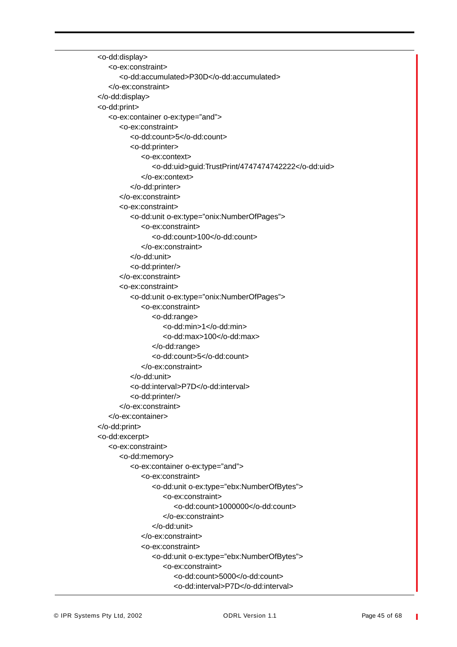<o-dd:display> <o-ex:constraint> <o-dd:accumulated>P30D</o-dd:accumulated> </o-ex:constraint> </o-dd:display> <o-dd:print> <o-ex:container o-ex:type="and"> <o-ex:constraint> <o-dd:count>5</o-dd:count> <o-dd:printer> <o-ex:context> <o-dd:uid>guid:TrustPrint/4747474742222</o-dd:uid> </o-ex:context> </o-dd:printer> </o-ex:constraint> <o-ex:constraint> <o-dd:unit o-ex:type="onix:NumberOfPages"> <o-ex:constraint> <o-dd:count>100</o-dd:count> </o-ex:constraint> </o-dd:unit> <o-dd:printer/> </o-ex:constraint> <o-ex:constraint> <o-dd:unit o-ex:type="onix:NumberOfPages"> <o-ex:constraint> <o-dd:range> <o-dd:min>1</o-dd:min> <o-dd:max>100</o-dd:max> </o-dd:range> <o-dd:count>5</o-dd:count> </o-ex:constraint> </o-dd:unit> <o-dd:interval>P7D</o-dd:interval> <o-dd:printer/> </o-ex:constraint> </o-ex:container> </o-dd:print> <o-dd:excerpt> <o-ex:constraint> <o-dd:memory> <o-ex:container o-ex:type="and"> <o-ex:constraint> <o-dd:unit o-ex:type="ebx:NumberOfBytes"> <o-ex:constraint> <o-dd:count>1000000</o-dd:count> </o-ex:constraint> </o-dd:unit> </o-ex:constraint> <o-ex:constraint> <o-dd:unit o-ex:type="ebx:NumberOfBytes"> <o-ex:constraint> <o-dd:count>5000</o-dd:count> <o-dd:interval>P7D</o-dd:interval>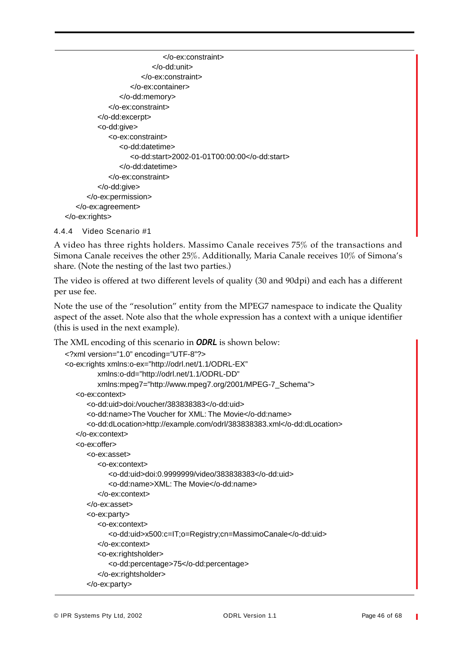</o-ex:constraint> </o-dd:unit> </o-ex:constraint> </o-ex:container> </o-dd:memory> </o-ex:constraint> </o-dd:excerpt> <o-dd:give> <o-ex:constraint> <o-dd:datetime> <o-dd:start>2002-01-01T00:00:00</o-dd:start> </o-dd:datetime> </o-ex:constraint> </o-dd:give> </o-ex:permission> </o-ex:agreement> </o-ex:rights>

```
4.4.4 Video Scenario #1
```
A video has three rights holders. Massimo Canale receives 75% of the transactions and Simona Canale receives the other 25%. Additionally, Maria Canale receives 10% of Simona's share. (Note the nesting of the last two parties.)

The video is offered at two different levels of quality (30 and 90dpi) and each has a different per use fee.

Note the use of the "resolution" entity from the MPEG7 namespace to indicate the Quality aspect of the asset. Note also that the whole expression has a context with a unique identifier (this is used in the next example).

The XML encoding of this scenario in *ODRL* is shown below:

```
<?xml version="1.0" encoding="UTF-8"?>
<o-ex:rights xmlns:o-ex="http://odrl.net/1.1/ODRL-EX"
         xmlns:o-dd="http://odrl.net/1.1/ODRL-DD"
         xmlns:mpeg7="http://www.mpeg7.org/2001/MPEG-7_Schema">
   <o-ex:context>
      <o-dd:uid>doi:/voucher/383838383</o-dd:uid>
      <o-dd:name>The Voucher for XML: The Movie</o-dd:name>
      <o-dd:dLocation>http://example.com/odrl/383838383.xml</o-dd:dLocation>
   </o-ex:context>
   <o-ex:offer>
      <o-ex:asset>
         <o-ex:context>
            <o-dd:uid>doi:0.9999999/video/383838383</o-dd:uid>
            <o-dd:name>XML: The Movie</o-dd:name>
         </o-ex:context>
      </o-ex:asset>
      <o-ex:party>
         <o-ex:context>
            <o-dd:uid>x500:c=IT;o=Registry;cn=MassimoCanale</o-dd:uid>
         </o-ex:context>
         <o-ex:rightsholder>
            <o-dd:percentage>75</o-dd:percentage>
         </o-ex:rightsholder>
      </o-ex:party>
```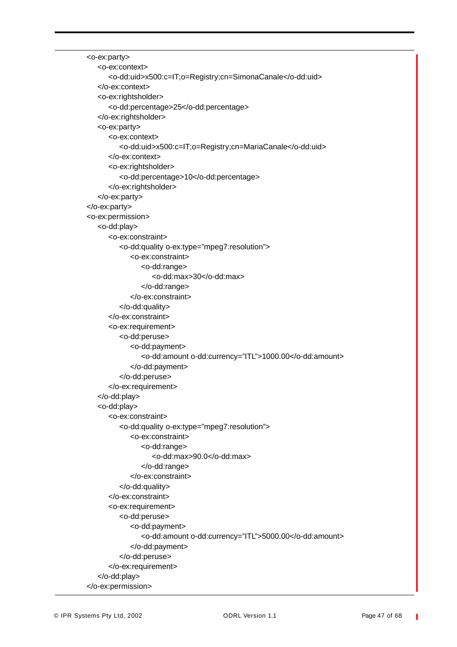```
<o-ex:party>
   <o-ex:context>
      <o-dd:uid>x500:c=IT;o=Registry;cn=SimonaCanale</o-dd:uid>
   </o-ex:context>
   <o-ex:rightsholder>
      <o-dd:percentage>25</o-dd:percentage>
   </o-ex:rightsholder>
   <o-ex:party>
      <o-ex:context>
         <o-dd:uid>x500:c=IT;o=Registry;cn=MariaCanale</o-dd:uid>
      </o-ex:context>
      <o-ex:rightsholder>
         <o-dd:percentage>10</o-dd:percentage>
      </o-ex:rightsholder>
   </o-ex:party>
</o-ex:party>
<o-ex:permission>
   <o-dd:play>
      <o-ex:constraint>
         <o-dd:quality o-ex:type="mpeg7:resolution">
            <o-ex:constraint>
               <o-dd:range>
                  <o-dd:max>30</o-dd:max>
               </o-dd:range>
            </o-ex:constraint>
         </o-dd:quality>
      </o-ex:constraint>
      <o-ex:requirement>
         <o-dd:peruse>
            <o-dd:payment>
               <o-dd:amount o-dd:currency="ITL">1000.00</o-dd:amount>
            </o-dd:payment>
         </o-dd:peruse>
      </o-ex:requirement>
   </o-dd:play>
   <o-dd:play>
      <o-ex:constraint>
         <o-dd:quality o-ex:type="mpeg7:resolution">
            <o-ex:constraint>
               <o-dd:range>
                  <o-dd:max>90.0</o-dd:max>
               </o-dd:range>
            </o-ex:constraint>
         </o-dd:quality>
      </o-ex:constraint>
      <o-ex:requirement>
         <o-dd:peruse>
            <o-dd:payment>
               <o-dd:amount o-dd:currency="ITL">5000.00</o-dd:amount>
            </o-dd:payment>
         </o-dd:peruse>
      </o-ex:requirement>
   </o-dd:play>
</o-ex:permission>
```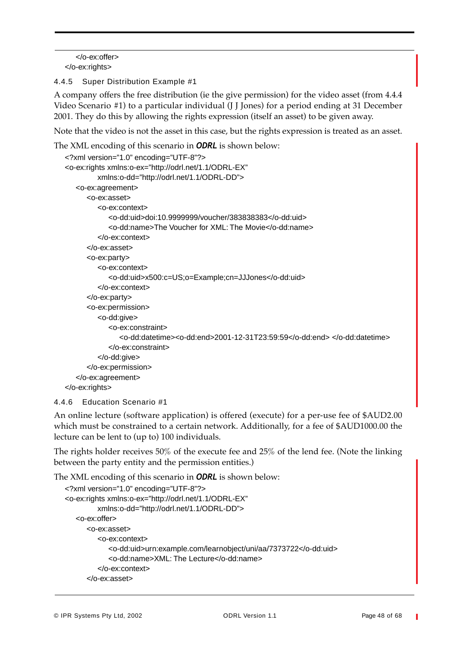</o-ex:offer> </o-ex:rights>

4.4.5 Super Distribution Example #1

A company offers the free distribution (ie the give permission) for the video asset (from 4.4.4 Video Scenario #1) to a particular individual (J J Jones) for a period ending at 31 December 2001. They do this by allowing the rights expression (itself an asset) to be given away.

Note that the video is not the asset in this case, but the rights expression is treated as an asset.

The XML encoding of this scenario in *ODRL* is shown below:

```
<?xml version="1.0" encoding="UTF-8"?>
<o-ex:rights xmlns:o-ex="http://odrl.net/1.1/ODRL-EX"
         xmlns:o-dd="http://odrl.net/1.1/ODRL-DD">
   <o-ex:agreement>
      <o-ex:asset>
         <o-ex:context>
            <o-dd:uid>doi:10.9999999/voucher/383838383</o-dd:uid>
            <o-dd:name>The Voucher for XML: The Movie</o-dd:name>
         </o-ex:context>
      </o-ex:asset>
      <o-ex:party>
         <o-ex:context>
            <o-dd:uid>x500:c=US;o=Example;cn=JJJones</o-dd:uid>
         </o-ex:context>
      </o-ex:party>
      <o-ex:permission>
         <o-dd:give>
            <o-ex:constraint>
               <o-dd:datetime><o-dd:end>2001-12-31T23:59:59</o-dd:end> </o-dd:datetime>
            </o-ex:constraint>
         </o-dd:give>
      </o-ex:permission>
   </o-ex:agreement>
</o-ex:rights>
```
#### 4.4.6 Education Scenario #1

An online lecture (software application) is offered (execute) for a per-use fee of \$AUD2.00 which must be constrained to a certain network. Additionally, for a fee of \$AUD1000.00 the lecture can be lent to (up to) 100 individuals.

The rights holder receives 50% of the execute fee and 25% of the lend fee. (Note the linking between the party entity and the permission entities.)

The XML encoding of this scenario in *ODRL* is shown below:

```
<?xml version="1.0" encoding="UTF-8"?>
<o-ex:rights xmlns:o-ex="http://odrl.net/1.1/ODRL-EX"
         xmlns:o-dd="http://odrl.net/1.1/ODRL-DD">
   <o-ex:offer>
      <o-ex:asset>
         <o-ex:context>
            <o-dd:uid>urn:example.com/learnobject/uni/aa/7373722</o-dd:uid>
            <o-dd:name>XML: The Lecture</o-dd:name>
         </o-ex:context>
      </o-ex:asset>
```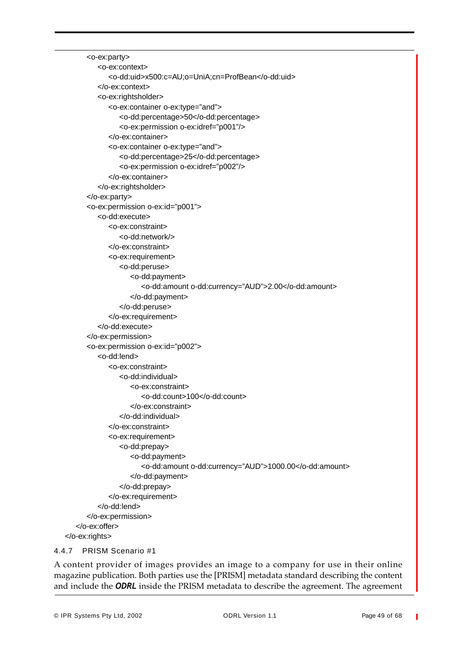```
<o-ex:party>
         <o-ex:context>
            <o-dd:uid>x500:c=AU;o=UniA;cn=ProfBean</o-dd:uid>
         </o-ex:context>
         <o-ex:rightsholder>
            <o-ex:container o-ex:type="and">
               <o-dd:percentage>50</o-dd:percentage>
               <o-ex:permission o-ex:idref="p001"/>
            </o-ex:container>
            <o-ex:container o-ex:type="and">
               <o-dd:percentage>25</o-dd:percentage>
               <o-ex:permission o-ex:idref="p002"/>
            </o-ex:container>
         </o-ex:rightsholder>
      </o-ex:party>
      <o-ex:permission o-ex:id="p001">
         <o-dd:execute>
            <o-ex:constraint>
               <o-dd:network/>
            </o-ex:constraint>
            <o-ex:requirement>
               <o-dd:peruse>
                  <o-dd:payment>
                     <o-dd:amount o-dd:currency="AUD">2.00</o-dd:amount>
                  </o-dd:payment>
               </o-dd:peruse>
            </o-ex:requirement>
         </o-dd:execute>
      </o-ex:permission>
      <o-ex:permission o-ex:id="p002">
         <o-dd:lend>
            <o-ex:constraint>
               <o-dd:individual>
                  <o-ex:constraint>
                     <o-dd:count>100</o-dd:count>
                  </o-ex:constraint>
               </o-dd:individual>
            </o-ex:constraint>
            <o-ex:requirement>
               <o-dd:prepay>
                  <o-dd:payment>
                     <o-dd:amount o-dd:currency="AUD">1000.00</o-dd:amount>
                  </o-dd:payment>
               </o-dd:prepay>
            </o-ex:requirement>
         </o-dd:lend>
      </o-ex:permission>
   </o-ex:offer>
</o-ex:rights>
```
#### 4.4.7 PRISM Scenario #1

A content provider of images provides an image to a company for use in their online magazine publication. Both parties use the [PRISM] metadata standard describing the content and include the *ODRL* inside the PRISM metadata to describe the agreement. The agreement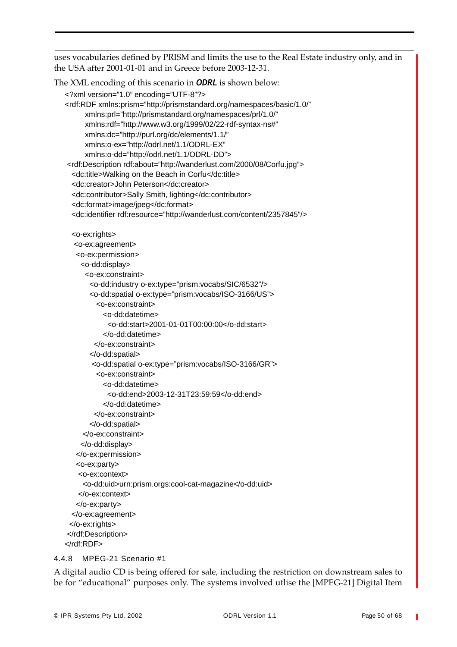uses vocabularies defined by PRISM and limits the use to the Real Estate industry only, and in the USA after 2001-01-01 and in Greece before 2003-12-31.

The XML encoding of this scenario in *ODRL* is shown below:

```
<?xml version="1.0" encoding="UTF-8"?>
<rdf:RDF xmlns:prism="http://prismstandard.org/namespaces/basic/1.0/"
     xmlns:prl="http://prismstandard.org/namespaces/prl/1.0/"
     xmlns:rdf="http://www.w3.org/1999/02/22-rdf-syntax-ns#"
     xmlns:dc="http://purl.org/dc/elements/1.1/"
     xmlns:o-ex="http://odrl.net/1.1/ODRL-EX"
     xmlns:o-dd="http://odrl.net/1.1/ODRL-DD">
<rdf:Description rdf:about="http://wanderlust.com/2000/08/Corfu.jpg">
 <dc:title>Walking on the Beach in Corfu</dc:title>
 <dc:creator>John Peterson</dc:creator>
 <dc:contributor>Sally Smith, lighting</dc:contributor>
 <dc:format>image/jpeg</dc:format>
 <dc:identifier rdf:resource="http://wanderlust.com/content/2357845"/>
 <o-ex:rights>
  <o-ex:agreement>
   <o-ex:permission>
    <o-dd:display>
     <o-ex:constraint>
       <o-dd:industry o-ex:type="prism:vocabs/SIC/6532"/>
       <o-dd:spatial o-ex:type="prism:vocabs/ISO-3166/US">
         <o-ex:constraint>
          <o-dd:datetime>
            <o-dd:start>2001-01-01T00:00:00</o-dd:start>
           </o-dd:datetime>
        </o-ex:constraint>
       </o-dd:spatial>
       <o-dd:spatial o-ex:type="prism:vocabs/ISO-3166/GR">
         <o-ex:constraint>
           <o-dd:datetime>
            <o-dd:end>2003-12-31T23:59:59</o-dd:end>
          </o-dd:datetime>
        </o-ex:constraint>
       </o-dd:spatial>
     </o-ex:constraint>
    </o-dd:display> 
   </o-ex:permission>
   <o-ex:party>
   <o-ex:context>
     <o-dd:uid>urn:prism.orgs:cool-cat-magazine</o-dd:uid>
   </o-ex:context>
   </o-ex:party>
 </o-ex:agreement>
 </o-ex:rights>
</rdf:Description>
</rdf:RDF>
```
#### 4.4.8 MPEG-21 Scenario #1

A digital audio CD is being offered for sale, including the restriction on downstream sales to be for "educational" purposes only. The systems involved utlise the [MPEG-21] Digital Item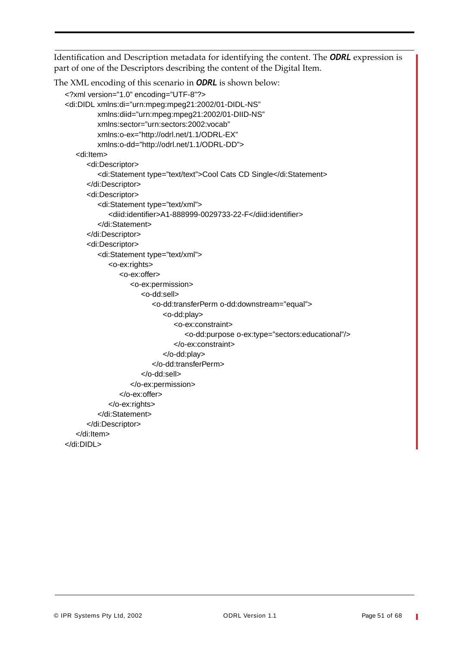Identification and Description metadata for identifying the content. The *ODRL* expression is part of one of the Descriptors describing the content of the Digital Item.

The XML encoding of this scenario in *ODRL* is shown below:

```
<?xml version="1.0" encoding="UTF-8"?>
<di:DIDL xmlns:di="urn:mpeg:mpeg21:2002/01-DIDL-NS"
         xmlns:diid="urn:mpeg:mpeg21:2002/01-DIID-NS"
         xmlns:sector="urn:sectors:2002:vocab"
         xmlns:o-ex="http://odrl.net/1.1/ODRL-EX"
         xmlns:o-dd="http://odrl.net/1.1/ODRL-DD">
   <di:Item>
      <di:Descriptor>
         <di:Statement type="text/text">Cool Cats CD Single</di:Statement>
      </di:Descriptor>
      <di:Descriptor>
         <di:Statement type="text/xml">
            <diid:identifier>A1-888999-0029733-22-F</diid:identifier>
         </di:Statement>
      </di:Descriptor>
      <di:Descriptor>
         <di:Statement type="text/xml">
            <o-ex:rights>
               <o-ex:offer>
                  <o-ex:permission>
                     <o-dd:sell>
                         <o-dd:transferPerm o-dd:downstream="equal">
                            <o-dd:play>
                               <o-ex:constraint>
                                  <o-dd:purpose o-ex:type="sectors:educational"/>
                               </o-ex:constraint>
                            </o-dd:play>
                         </o-dd:transferPerm>
                     </o-dd:sell>
                  </o-ex:permission>
               </o-ex:offer>
            </o-ex:rights>
         </di:Statement>
      </di:Descriptor>
   </di:Item>
</di:DIDL>
```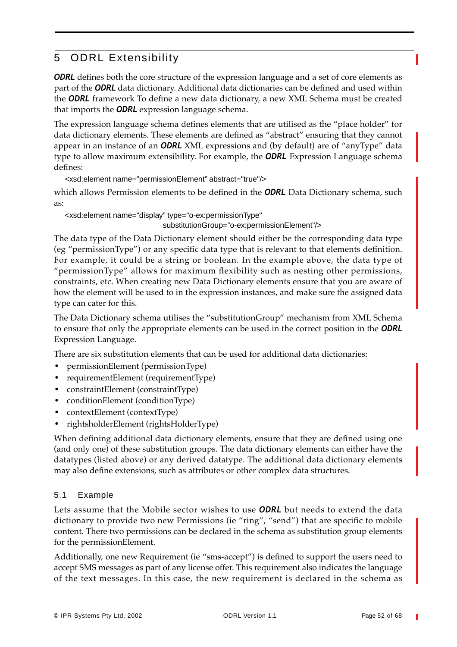# 5 ODRL Extensibility

**ODRL** defines both the core structure of the expression language and a set of core elements as part of the *ODRL* data dictionary. Additional data dictionaries can be defined and used within the *ODRL* framework To define a new data dictionary, a new XML Schema must be created that imports the *ODRL* expression language schema.

The expression language schema defines elements that are utilised as the "place holder" for data dictionary elements. These elements are defined as "abstract" ensuring that they cannot appear in an instance of an *ODRL* XML expressions and (by default) are of "anyType" data type to allow maximum extensibility. For example, the *ODRL* Expression Language schema defines:

<xsd:element name="permissionElement" abstract="true"/>

which allows Permission elements to be defined in the *ODRL* Data Dictionary schema, such as:

<xsd:element name="display" type="o-ex:permissionType"

substitutionGroup="o-ex:permissionElement"/>

The data type of the Data Dictionary element should either be the corresponding data type (eg "permissionType") or any specific data type that is relevant to that elements definition. For example, it could be a string or boolean. In the example above, the data type of "permissionType" allows for maximum flexibility such as nesting other permissions, constraints, etc. When creating new Data Dictionary elements ensure that you are aware of how the element will be used to in the expression instances, and make sure the assigned data type can cater for this.

The Data Dictionary schema utilises the "substitutionGroup" mechanism from XML Schema to ensure that only the appropriate elements can be used in the correct position in the *ODRL* Expression Language.

There are six substitution elements that can be used for additional data dictionaries:

- permissionElement (permissionType)
- requirementElement (requirementType)
- constraintElement (constraintType)
- conditionElement (conditionType)
- contextElement (contextType)
- **•** rightsholderElement (rightsHolderType)

When defining additional data dictionary elements, ensure that they are defined using one (and only one) of these substitution groups. The data dictionary elements can either have the datatypes (listed above) or any derived datatype. The additional data dictionary elements may also define extensions, such as attributes or other complex data structures.

#### 5.1 Example

Lets assume that the Mobile sector wishes to use *ODRL* but needs to extend the data dictionary to provide two new Permissions (ie "ring", "send") that are specific to mobile content. There two permissions can be declared in the schema as substitution group elements for the permissionElement.

Additionally, one new Requirement (ie "sms-accept") is defined to support the users need to accept SMS messages as part of any license offer. This requirement also indicates the language of the text messages. In this case, the new requirement is declared in the schema as

© IPR Systems Pty Ltd, 2002 ODRL Version 1.1 Page 52 of 68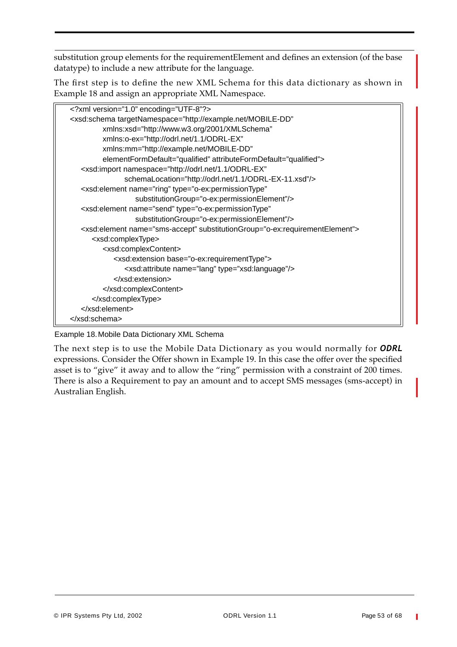substitution group elements for the requirementElement and defines an extension (of the base datatype) to include a new attribute for the language.

The first step is to define the new XML Schema for this data dictionary as shown in Example 18 and assign an appropriate XML Namespace.

| xml version="1.0" encoding="UTF-8"?                                                       |
|-------------------------------------------------------------------------------------------|
| <xsd:schema <="" targetnamespace="http://example.net/MOBILE-DD" td=""></xsd:schema>       |
| xmlns:xsd="http://www.w3.org/2001/XMLSchema"                                              |
| xmlns:o-ex="http://odrl.net/1.1/ODRL-EX"                                                  |
| xmlns:mm="http://example.net/MOBILE-DD"                                                   |
| elementFormDefault="qualified" attributeFormDefault="qualified">                          |
| <xsd:import <="" namespace="http://odrl.net/1.1/ODRL-EX" td=""></xsd:import>              |
| schemaLocation="http://odrl.net/1.1/ODRL-EX-11.xsd"/>                                     |
| <xsd:element <="" name="ring" td="" type="o-ex:permissionType"></xsd:element>             |
| substitutionGroup="o-ex:permissionElement"/>                                              |
| <xsd:element <="" name="send" td="" type="o-ex:permissionType"></xsd:element>             |
| substitutionGroup="o-ex:permissionElement"/>                                              |
| <xsd:element name="sms-accept" substitutiongroup="o-ex:requirementElement"></xsd:element> |
| <xsd:complextype></xsd:complextype>                                                       |
| <xsd:complexcontent></xsd:complexcontent>                                                 |
| <xsd:extension base="o-ex:requirementType"></xsd:extension>                               |
| <xsd:attribute name="lang" type="xsd:language"></xsd:attribute>                           |
| $\le$ /xsd:extension>                                                                     |
|                                                                                           |
|                                                                                           |
|                                                                                           |
|                                                                                           |

Example 18.Mobile Data Dictionary XML Schema

The next step is to use the Mobile Data Dictionary as you would normally for *ODRL* expressions. Consider the Offer shown in Example 19. In this case the offer over the specified asset is to "give" it away and to allow the "ring" permission with a constraint of 200 times. There is also a Requirement to pay an amount and to accept SMS messages (sms-accept) in Australian English.

T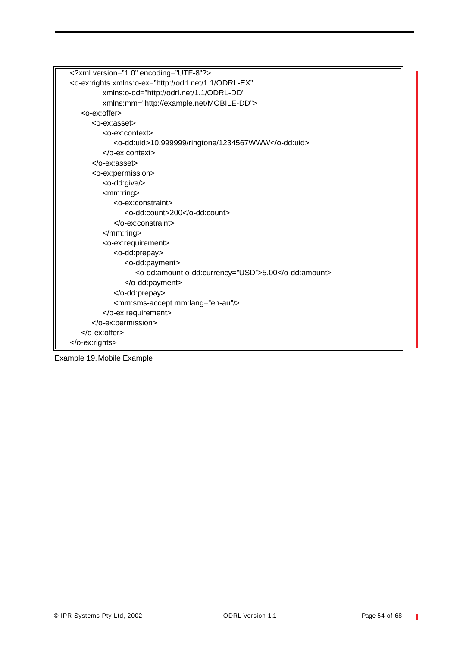| xml version="1.0" encoding="UTF-8"?                                             |
|---------------------------------------------------------------------------------|
| <o-ex:rights <="" td="" xmlns:o-ex="http://odrl.net/1.1/ODRL-EX"></o-ex:rights> |
| xmlns:o-dd="http://odrl.net/1.1/ODRL-DD"                                        |
| xmlns:mm="http://example.net/MOBILE-DD">                                        |
| <o-ex:offer></o-ex:offer>                                                       |
| <o-ex:asset></o-ex:asset>                                                       |
| <o-ex:context></o-ex:context>                                                   |
| <o-dd:uid>10.999999/ringtone/1234567WWW</o-dd:uid>                              |
|                                                                                 |
| $<$ /0-ex:asset>                                                                |
| <o-ex:permission></o-ex:permission>                                             |
| <o-dd:give></o-dd:give>                                                         |
| $<$ mm:ring $>$                                                                 |
| <o-ex:constraint></o-ex:constraint>                                             |
| <o-dd:count>200</o-dd:count>                                                    |
|                                                                                 |
| $<$ /mm:ring>                                                                   |
| <o-ex:requirement></o-ex:requirement>                                           |
| <o-dd:prepay></o-dd:prepay>                                                     |
| <o-dd:payment></o-dd:payment>                                                   |
| <o-dd:amount o-dd:currency="USD">5.00</o-dd:amount>                             |
|                                                                                 |
|                                                                                 |
| <mm:sms-accept mm:lang="en-au"></mm:sms-accept>                                 |
|                                                                                 |
|                                                                                 |
|                                                                                 |
|                                                                                 |

Example 19.Mobile Example

 $\mathbb T$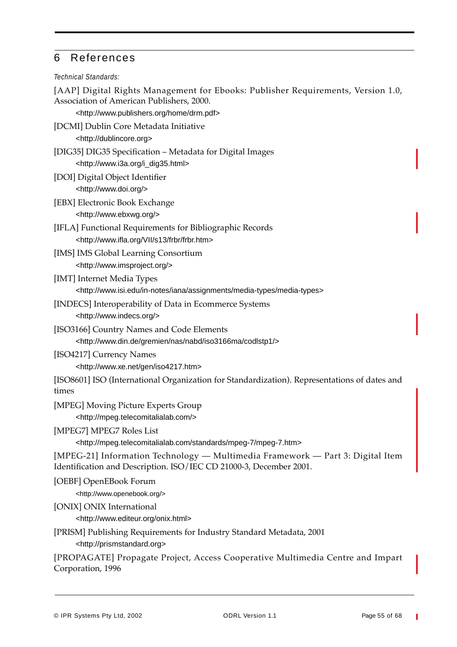# 6 References

#### *Technical Standards:*

[AAP] Digital Rights Management for Ebooks: Publisher Requirements, Version 1.0, Association of American Publishers, 2000.

<http://www.publishers.org/home/drm.pdf>

- [DCMI] Dublin Core Metadata Initiative <http://dublincore.org>
- [DIG35] DIG35 Specification Metadata for Digital Images <http://www.i3a.org/i\_dig35.html>
- [DOI] Digital Object Identifier <http://www.doi.org/>
- [EBX] Electronic Book Exchange
	- <http://www.ebxwg.org/>
- [IFLA] Functional Requirements for Bibliographic Records <http://www.ifla.org/VII/s13/frbr/frbr.htm>
- [IMS] IMS Global Learning Consortium <http://www.imsproject.org/>
- [IMT] Internet Media Types <http://www.isi.edu/in-notes/iana/assignments/media-types/media-types>
- [INDECS] Interoperability of Data in Ecommerce Systems <http://www.indecs.org/>
- [ISO3166] Country Names and Code Elements <http://www.din.de/gremien/nas/nabd/iso3166ma/codlstp1/>
- [ISO4217] Currency Names <http://www.xe.net/gen/iso4217.htm>

[ISO8601] ISO (International Organization for Standardization). Representations of dates and times

[MPEG] Moving Picture Experts Group <http://mpeg.telecomitalialab.com/>

[MPEG7] MPEG7 Roles List

<http://mpeg.telecomitalialab.com/standards/mpeg-7/mpeg-7.htm>

[MPEG-21] Information Technology — Multimedia Framework — Part 3: Digital Item Identification and Description. ISO/IEC CD 21000-3, December 2001.

[OEBF] OpenEBook Forum

<http://www.openebook.org/>

[ONIX] ONIX International

<http://www.editeur.org/onix.html>

[PRISM] Publishing Requirements for Industry Standard Metadata, 2001 <http://prismstandard.org>

[PROPAGATE] Propagate Project, Access Cooperative Multimedia Centre and Impart Corporation, 1996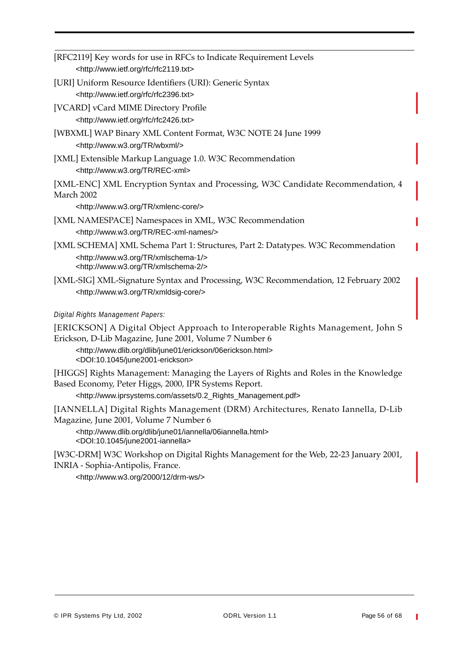| [RFC2119] Key words for use in RFCs to Indicate Requirement Levels                                                                                                                                                                                                                 |
|------------------------------------------------------------------------------------------------------------------------------------------------------------------------------------------------------------------------------------------------------------------------------------|
| <http: rfc="" rfc2119.txt="" www.ietf.org=""></http:>                                                                                                                                                                                                                              |
| [URI] Uniform Resource Identifiers (URI): Generic Syntax<br><http: rfc="" rfc2396.txt="" www.ietf.org=""></http:>                                                                                                                                                                  |
| [VCARD] vCard MIME Directory Profile<br><http: rfc="" rfc2426.txt="" www.ietf.org=""></http:>                                                                                                                                                                                      |
| [WBXML] WAP Binary XML Content Format, W3C NOTE 24 June 1999<br><http: tr="" wbxml="" www.w3.org=""></http:>                                                                                                                                                                       |
| [XML] Extensible Markup Language 1.0. W3C Recommendation<br><http: rec-xml="" tr="" www.w3.org=""></http:>                                                                                                                                                                         |
| [XML-ENC] XML Encryption Syntax and Processing, W3C Candidate Recommendation, 4<br>March 2002                                                                                                                                                                                      |
| <http: tr="" www.w3.org="" xmlenc-core=""></http:>                                                                                                                                                                                                                                 |
| [XML NAMESPACE] Namespaces in XML, W3C Recommendation                                                                                                                                                                                                                              |
| <http: rec-xml-names="" tr="" www.w3.org=""></http:>                                                                                                                                                                                                                               |
| [XML SCHEMA] XML Schema Part 1: Structures, Part 2: Datatypes. W3C Recommendation                                                                                                                                                                                                  |
| <http: tr="" www.w3.org="" xmlschema-1=""></http:><br><http: tr="" www.w3.org="" xmlschema-2=""></http:>                                                                                                                                                                           |
| [XML-SIG] XML-Signature Syntax and Processing, W3C Recommendation, 12 February 2002<br><http: tr="" www.w3.org="" xmldsig-core=""></http:>                                                                                                                                         |
| Digital Rights Management Papers:                                                                                                                                                                                                                                                  |
| [ERICKSON] A Digital Object Approach to Interoperable Rights Management, John S<br>Erickson, D-Lib Magazine, June 2001, Volume 7 Number 6<br><http: 06erickson.html="" dlib="" erickson="" june01="" www.dlib.org=""><br/><doi:10.1045 june2001-erickson=""></doi:10.1045></http:> |
| [HIGGS] Rights Management: Managing the Layers of Rights and Roles in the Knowledge<br>Based Economy, Peter Higgs, 2000, IPR Systems Report.                                                                                                                                       |

<http://www.iprsystems.com/assets/0.2\_Rights\_Management.pdf>

[IANNELLA] Digital Rights Management (DRM) Architectures, Renato Iannella, D-Lib Magazine, June 2001, Volume 7 Number 6

<http://www.dlib.org/dlib/june01/iannella/06iannella.html> <DOI:10.1045/june2001-iannella>

[W3C-DRM] W3C Workshop on Digital Rights Management for the Web, 22-23 January 2001, INRIA - Sophia-Antipolis, France.

<http://www.w3.org/2000/12/drm-ws/>

T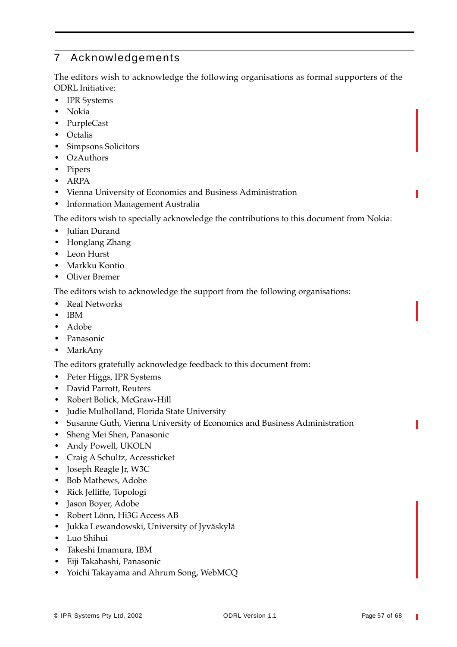# 7 Acknowledgements

The editors wish to acknowledge the following organisations as formal supporters of the ODRL Initiative:

- **•** IPR Systems
- **•** Nokia
- **•** PurpleCast
- **•** Octalis
- **•** Simpsons Solicitors
- **•** OzAuthors
- **•** Pipers
- **•** ARPA
- **•** Vienna University of Economics and Business Administration
- **•** Information Management Australia

The editors wish to specially acknowledge the contributions to this document from Nokia:

- **•** Julian Durand
- **•** Honglang Zhang
- **•** Leon Hurst
- **•** Markku Kontio
- **•** Oliver Bremer

The editors wish to acknowledge the support from the following organisations:

- **•** Real Networks
- **•** IBM
- **•** Adobe
- **•** Panasonic
- **•** MarkAny

The editors gratefully acknowledge feedback to this document from:

- **•** Peter Higgs, IPR Systems
- **•** David Parrott, Reuters
- **•** Robert Bolick, McGraw-Hill
- **•** Judie Mulholland, Florida State University
- **•** Susanne Guth, Vienna University of Economics and Business Administration
- **•** Sheng Mei Shen, Panasonic
- **•** Andy Powell, UKOLN
- **•** Craig A Schultz, Accessticket
- **•** Joseph Reagle Jr, W3C
- **•** Bob Mathews, Adobe
- **•** Rick Jelliffe, Topologi
- **•** Jason Boyer, Adobe
- **•** Robert Lönn, Hi3G Access AB
- **•** Jukka Lewandowski, University of Jyväskylä
- **•** Luo Shihui
- **•** Takeshi Imamura, IBM
- **•** Eiji Takahashi, Panasonic
- **•** Yoichi Takayama and Ahrum Song, WebMCQ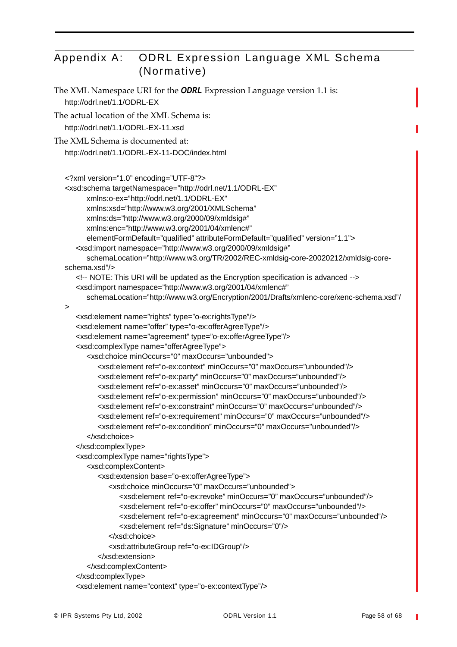# Appendix A: ODRL Expression Language XML Schema (Normative)

```
The XML Namespace URI for the ODRL Expression Language version 1.1 is:
   http://odrl.net/1.1/ODRL-EX
The actual location of the XML Schema is:
   http://odrl.net/1.1/ODRL-EX-11.xsd
The XML Schema is documented at:
   http://odrl.net/1.1/ODRL-EX-11-DOC/index.html
   <?xml version="1.0" encoding="UTF-8"?>
   <xsd:schema targetNamespace="http://odrl.net/1.1/ODRL-EX"
        xmlns:o-ex="http://odrl.net/1.1/ODRL-EX"
        xmlns:xsd="http://www.w3.org/2001/XMLSchema"
        xmlns:ds="http://www.w3.org/2000/09/xmldsig#"
        xmlns:enc="http://www.w3.org/2001/04/xmlenc#"
         elementFormDefault="qualified" attributeFormDefault="qualified" version="1.1">
      <xsd:import namespace="http://www.w3.org/2000/09/xmldsig#"
         schemaLocation="http://www.w3.org/TR/2002/REC-xmldsig-core-20020212/xmldsig-core-
  schema.xsd"/>
      <!-- NOTE: This URI will be updated as the Encryption specification is advanced -->
      <xsd:import namespace="http://www.w3.org/2001/04/xmlenc#"
         schemaLocation="http://www.w3.org/Encryption/2001/Drafts/xmlenc-core/xenc-schema.xsd"/
  >
      <xsd:element name="rights" type="o-ex:rightsType"/>
      <xsd:element name="offer" type="o-ex:offerAgreeType"/>
      <xsd:element name="agreement" type="o-ex:offerAgreeType"/>
      <xsd:complexType name="offerAgreeType">
         <xsd:choice minOccurs="0" maxOccurs="unbounded">
            <xsd:element ref="o-ex:context" minOccurs="0" maxOccurs="unbounded"/>
            <xsd:element ref="o-ex:party" minOccurs="0" maxOccurs="unbounded"/>
            <xsd:element ref="o-ex:asset" minOccurs="0" maxOccurs="unbounded"/>
            <xsd:element ref="o-ex:permission" minOccurs="0" maxOccurs="unbounded"/>
            <xsd:element ref="o-ex:constraint" minOccurs="0" maxOccurs="unbounded"/>
            <xsd:element ref="o-ex:requirement" minOccurs="0" maxOccurs="unbounded"/>
            <xsd:element ref="o-ex:condition" minOccurs="0" maxOccurs="unbounded"/>
         </xsd:choice>
      </xsd:complexType>
      <xsd:complexType name="rightsType">
         <xsd:complexContent>
            <xsd:extension base="o-ex:offerAgreeType">
               <xsd:choice minOccurs="0" maxOccurs="unbounded">
                  <xsd:element ref="o-ex:revoke" minOccurs="0" maxOccurs="unbounded"/>
                 <xsd:element ref="o-ex:offer" minOccurs="0" maxOccurs="unbounded"/>
                 <xsd:element ref="o-ex:agreement" minOccurs="0" maxOccurs="unbounded"/>
                  <xsd:element ref="ds:Signature" minOccurs="0"/>
               </xsd:choice>
               <xsd:attributeGroup ref="o-ex:IDGroup"/>
            </xsd:extension>
         </xsd:complexContent>
      </xsd:complexType>
      <xsd:element name="context" type="o-ex:contextType"/>
```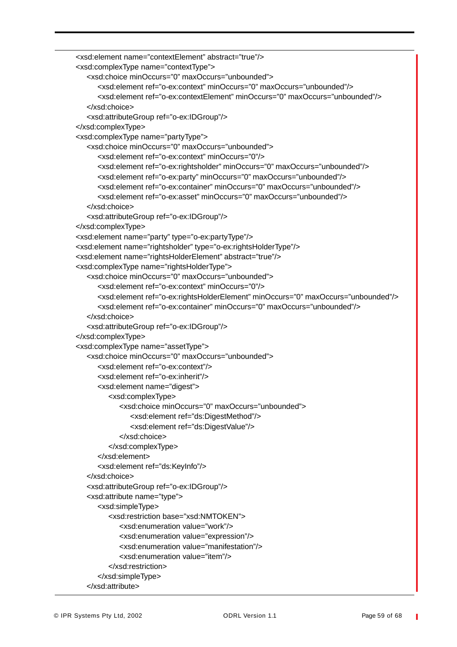```
<xsd:element name="contextElement" abstract="true"/>
<xsd:complexType name="contextType">
   <xsd:choice minOccurs="0" maxOccurs="unbounded">
      <xsd:element ref="o-ex:context" minOccurs="0" maxOccurs="unbounded"/>
      <xsd:element ref="o-ex:contextElement" minOccurs="0" maxOccurs="unbounded"/>
   </xsd:choice>
   <xsd:attributeGroup ref="o-ex:IDGroup"/>
</xsd:complexType>
<xsd:complexType name="partyType">
   <xsd:choice minOccurs="0" maxOccurs="unbounded">
      <xsd:element ref="o-ex:context" minOccurs="0"/>
      <xsd:element ref="o-ex:rightsholder" minOccurs="0" maxOccurs="unbounded"/>
      <xsd:element ref="o-ex:party" minOccurs="0" maxOccurs="unbounded"/>
      <xsd:element ref="o-ex:container" minOccurs="0" maxOccurs="unbounded"/>
      <xsd:element ref="o-ex:asset" minOccurs="0" maxOccurs="unbounded"/>
   </xsd:choice>
   <xsd:attributeGroup ref="o-ex:IDGroup"/>
</xsd:complexType>
<xsd:element name="party" type="o-ex:partyType"/>
<xsd:element name="rightsholder" type="o-ex:rightsHolderType"/>
<xsd:element name="rightsHolderElement" abstract="true"/>
<xsd:complexType name="rightsHolderType">
   <xsd:choice minOccurs="0" maxOccurs="unbounded">
      <xsd:element ref="o-ex:context" minOccurs="0"/>
      <xsd:element ref="o-ex:rightsHolderElement" minOccurs="0" maxOccurs="unbounded"/>
      <xsd:element ref="o-ex:container" minOccurs="0" maxOccurs="unbounded"/>
   </xsd:choice>
   <xsd:attributeGroup ref="o-ex:IDGroup"/>
</xsd:complexType>
<xsd:complexType name="assetType">
   <xsd:choice minOccurs="0" maxOccurs="unbounded">
      <xsd:element ref="o-ex:context"/>
      <xsd:element ref="o-ex:inherit"/>
      <xsd:element name="digest">
         <xsd:complexType>
           <xsd:choice minOccurs="0" maxOccurs="unbounded">
              <xsd:element ref="ds:DigestMethod"/>
               <xsd:element ref="ds:DigestValue"/>
           </xsd:choice>
         </xsd:complexType>
      </xsd:element>
      <xsd:element ref="ds:KeyInfo"/>
   </xsd:choice>
   <xsd:attributeGroup ref="o-ex:IDGroup"/>
   <xsd:attribute name="type">
      <xsd:simpleType>
         <xsd:restriction base="xsd:NMTOKEN">
            <xsd:enumeration value="work"/>
           <xsd:enumeration value="expression"/>
           <xsd:enumeration value="manifestation"/>
            <xsd:enumeration value="item"/>
         </xsd:restriction>
      </xsd:simpleType>
   </xsd:attribute>
```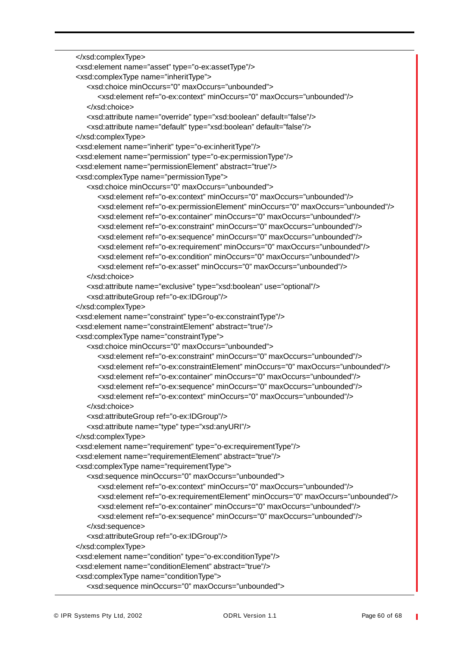```
</xsd:complexType>
<xsd:element name="asset" type="o-ex:assetType"/>
<xsd:complexType name="inheritType">
   <xsd:choice minOccurs="0" maxOccurs="unbounded">
     <xsd:element ref="o-ex:context" minOccurs="0" maxOccurs="unbounded"/>
   </xsd:choice>
   <xsd:attribute name="override" type="xsd:boolean" default="false"/>
   <xsd:attribute name="default" type="xsd:boolean" default="false"/>
</xsd:complexType>
<xsd:element name="inherit" type="o-ex:inheritType"/>
<xsd:element name="permission" type="o-ex:permissionType"/>
<xsd:element name="permissionElement" abstract="true"/>
<xsd:complexType name="permissionType">
   <xsd:choice minOccurs="0" maxOccurs="unbounded">
      <xsd:element ref="o-ex:context" minOccurs="0" maxOccurs="unbounded"/>
     <xsd:element ref="o-ex:permissionElement" minOccurs="0" maxOccurs="unbounded"/>
     <xsd:element ref="o-ex:container" minOccurs="0" maxOccurs="unbounded"/>
     <xsd:element ref="o-ex:constraint" minOccurs="0" maxOccurs="unbounded"/>
     <xsd:element ref="o-ex:sequence" minOccurs="0" maxOccurs="unbounded"/>
     <xsd:element ref="o-ex:requirement" minOccurs="0" maxOccurs="unbounded"/>
     <xsd:element ref="o-ex:condition" minOccurs="0" maxOccurs="unbounded"/>
     <xsd:element ref="o-ex:asset" minOccurs="0" maxOccurs="unbounded"/>
   </xsd:choice>
   <xsd:attribute name="exclusive" type="xsd:boolean" use="optional"/>
   <xsd:attributeGroup ref="o-ex:IDGroup"/>
</xsd:complexType>
<xsd:element name="constraint" type="o-ex:constraintType"/>
<xsd:element name="constraintElement" abstract="true"/>
<xsd:complexType name="constraintType">
   <xsd:choice minOccurs="0" maxOccurs="unbounded">
     <xsd:element ref="o-ex:constraint" minOccurs="0" maxOccurs="unbounded"/>
     <xsd:element ref="o-ex:constraintElement" minOccurs="0" maxOccurs="unbounded"/>
     <xsd:element ref="o-ex:container" minOccurs="0" maxOccurs="unbounded"/>
     <xsd:element ref="o-ex:sequence" minOccurs="0" maxOccurs="unbounded"/>
      <xsd:element ref="o-ex:context" minOccurs="0" maxOccurs="unbounded"/>
   </xsd:choice>
   <xsd:attributeGroup ref="o-ex:IDGroup"/>
   <xsd:attribute name="type" type="xsd:anyURI"/>
</xsd:complexType>
<xsd:element name="requirement" type="o-ex:requirementType"/>
<xsd:element name="requirementElement" abstract="true"/>
<xsd:complexType name="requirementType">
   <xsd:sequence minOccurs="0" maxOccurs="unbounded">
     <xsd:element ref="o-ex:context" minOccurs="0" maxOccurs="unbounded"/>
     <xsd:element ref="o-ex:requirementElement" minOccurs="0" maxOccurs="unbounded"/>
     <xsd:element ref="o-ex:container" minOccurs="0" maxOccurs="unbounded"/>
     <xsd:element ref="o-ex:sequence" minOccurs="0" maxOccurs="unbounded"/>
   </xsd:sequence>
   <xsd:attributeGroup ref="o-ex:IDGroup"/>
</xsd:complexType>
<xsd:element name="condition" type="o-ex:conditionType"/>
<xsd:element name="conditionElement" abstract="true"/>
<xsd:complexType name="conditionType">
   <xsd:sequence minOccurs="0" maxOccurs="unbounded">
```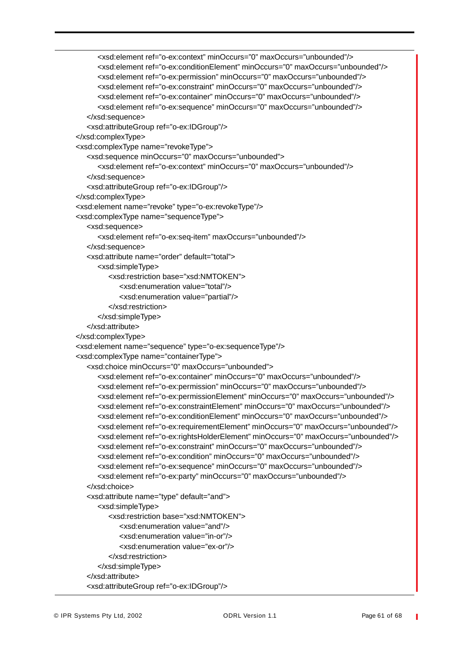```
<xsd:element ref="o-ex:context" minOccurs="0" maxOccurs="unbounded"/>
     <xsd:element ref="o-ex:conditionElement" minOccurs="0" maxOccurs="unbounded"/>
     <xsd:element ref="o-ex:permission" minOccurs="0" maxOccurs="unbounded"/>
     <xsd:element ref="o-ex:constraint" minOccurs="0" maxOccurs="unbounded"/>
     <xsd:element ref="o-ex:container" minOccurs="0" maxOccurs="unbounded"/>
     <xsd:element ref="o-ex:sequence" minOccurs="0" maxOccurs="unbounded"/>
   </xsd:sequence>
   <xsd:attributeGroup ref="o-ex:IDGroup"/>
</xsd:complexType>
<xsd:complexType name="revokeType">
   <xsd:sequence minOccurs="0" maxOccurs="unbounded">
     <xsd:element ref="o-ex:context" minOccurs="0" maxOccurs="unbounded"/>
   </xsd:sequence>
   <xsd:attributeGroup ref="o-ex:IDGroup"/>
</xsd:complexType>
<xsd:element name="revoke" type="o-ex:revokeType"/>
<xsd:complexType name="sequenceType">
   <xsd:sequence>
      <xsd:element ref="o-ex:seq-item" maxOccurs="unbounded"/>
  </xsd:sequence>
   <xsd:attribute name="order" default="total">
     <xsd:simpleType>
        <xsd:restriction base="xsd:NMTOKEN">
           <xsd:enumeration value="total"/>
           <xsd:enumeration value="partial"/>
        </xsd:restriction>
     </xsd:simpleType>
   </xsd:attribute>
</xsd:complexType>
<xsd:element name="sequence" type="o-ex:sequenceType"/>
<xsd:complexType name="containerType">
   <xsd:choice minOccurs="0" maxOccurs="unbounded">
     <xsd:element ref="o-ex:container" minOccurs="0" maxOccurs="unbounded"/>
     <xsd:element ref="o-ex:permission" minOccurs="0" maxOccurs="unbounded"/>
     <xsd:element ref="o-ex:permissionElement" minOccurs="0" maxOccurs="unbounded"/>
     <xsd:element ref="o-ex:constraintElement" minOccurs="0" maxOccurs="unbounded"/>
     <xsd:element ref="o-ex:conditionElement" minOccurs="0" maxOccurs="unbounded"/>
     <xsd:element ref="o-ex:requirementElement" minOccurs="0" maxOccurs="unbounded"/>
     <xsd:element ref="o-ex:rightsHolderElement" minOccurs="0" maxOccurs="unbounded"/>
     <xsd:element ref="o-ex:constraint" minOccurs="0" maxOccurs="unbounded"/>
     <xsd:element ref="o-ex:condition" minOccurs="0" maxOccurs="unbounded"/>
     <xsd:element ref="o-ex:sequence" minOccurs="0" maxOccurs="unbounded"/>
     <xsd:element ref="o-ex:party" minOccurs="0" maxOccurs="unbounded"/>
   </xsd:choice>
   <xsd:attribute name="type" default="and">
     <xsd:simpleType>
        <xsd:restriction base="xsd:NMTOKEN">
           <xsd:enumeration value="and"/>
           <xsd:enumeration value="in-or"/>
           <xsd:enumeration value="ex-or"/>
        </xsd:restriction>
     </xsd:simpleType>
  </xsd:attribute>
   <xsd:attributeGroup ref="o-ex:IDGroup"/>
```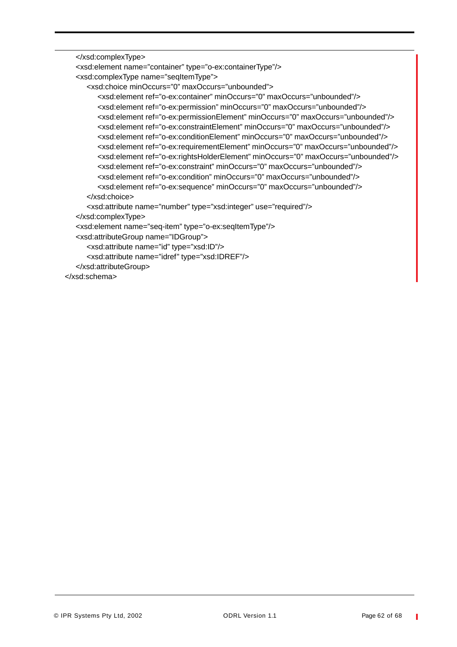```
</xsd:complexType>
  <xsd:element name="container" type="o-ex:containerType"/>
   <xsd:complexType name="seqItemType">
      <xsd:choice minOccurs="0" maxOccurs="unbounded">
        <xsd:element ref="o-ex:container" minOccurs="0" maxOccurs="unbounded"/>
        <xsd:element ref="o-ex:permission" minOccurs="0" maxOccurs="unbounded"/>
        <xsd:element ref="o-ex:permissionElement" minOccurs="0" maxOccurs="unbounded"/>
        <xsd:element ref="o-ex:constraintElement" minOccurs="0" maxOccurs="unbounded"/>
        <xsd:element ref="o-ex:conditionElement" minOccurs="0" maxOccurs="unbounded"/>
        <xsd:element ref="o-ex:requirementElement" minOccurs="0" maxOccurs="unbounded"/>
        <xsd:element ref="o-ex:rightsHolderElement" minOccurs="0" maxOccurs="unbounded"/>
        <xsd:element ref="o-ex:constraint" minOccurs="0" maxOccurs="unbounded"/>
        <xsd:element ref="o-ex:condition" minOccurs="0" maxOccurs="unbounded"/>
        <xsd:element ref="o-ex:sequence" minOccurs="0" maxOccurs="unbounded"/>
     </xsd:choice>
      <xsd:attribute name="number" type="xsd:integer" use="required"/>
  </xsd:complexType>
   <xsd:element name="seq-item" type="o-ex:seqItemType"/>
  <xsd:attributeGroup name="IDGroup">
      <xsd:attribute name="id" type="xsd:ID"/>
     <xsd:attribute name="idref" type="xsd:IDREF"/>
  </xsd:attributeGroup>
</xsd:schema>
```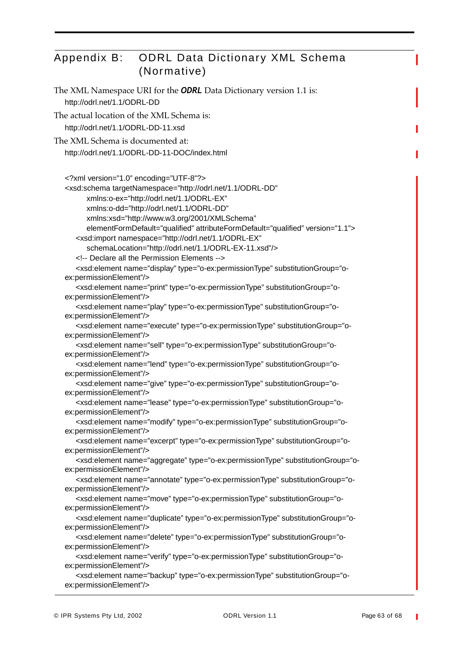# Appendix B: ODRL Data Dictionary XML Schema (Normative)

```
The XML Namespace URI for the ODRL Data Dictionary version 1.1 is:
   http://odrl.net/1.1/ODRL-DD
The actual location of the XML Schema is:
   http://odrl.net/1.1/ODRL-DD-11.xsd
The XML Schema is documented at:
   http://odrl.net/1.1/ODRL-DD-11-DOC/index.html
   <?xml version="1.0" encoding="UTF-8"?>
   <xsd:schema targetNamespace="http://odrl.net/1.1/ODRL-DD" 
         xmlns:o-ex="http://odrl.net/1.1/ODRL-EX"
         xmlns:o-dd="http://odrl.net/1.1/ODRL-DD"
         xmlns:xsd="http://www.w3.org/2001/XMLSchema" 
         elementFormDefault="qualified" attributeFormDefault="qualified" version="1.1">
      <xsd:import namespace="http://odrl.net/1.1/ODRL-EX"
         schemaLocation="http://odrl.net/1.1/ODRL-EX-11.xsd"/>
      <!-- Declare all the Permission Elements -->
      <xsd:element name="display" type="o-ex:permissionType" substitutionGroup="o-
   ex:permissionElement"/>
      <xsd:element name="print" type="o-ex:permissionType" substitutionGroup="o-
   ex:permissionElement"/>
      <xsd:element name="play" type="o-ex:permissionType" substitutionGroup="o-
   ex:permissionElement"/>
      <xsd:element name="execute" type="o-ex:permissionType" substitutionGroup="o-
   ex:permissionElement"/>
      <xsd:element name="sell" type="o-ex:permissionType" substitutionGroup="o-
   ex:permissionElement"/>
      <xsd:element name="lend" type="o-ex:permissionType" substitutionGroup="o-
   ex:permissionElement"/>
      <xsd:element name="give" type="o-ex:permissionType" substitutionGroup="o-
   ex:permissionElement"/>
      <xsd:element name="lease" type="o-ex:permissionType" substitutionGroup="o-
   ex:permissionElement"/>
      <xsd:element name="modify" type="o-ex:permissionType" substitutionGroup="o-
   ex:permissionElement"/>
      <xsd:element name="excerpt" type="o-ex:permissionType" substitutionGroup="o-
   ex:permissionElement"/>
      <xsd:element name="aggregate" type="o-ex:permissionType" substitutionGroup="o-
   ex:permissionElement"/>
      <xsd:element name="annotate" type="o-ex:permissionType" substitutionGroup="o-
   ex:permissionElement"/>
      <xsd:element name="move" type="o-ex:permissionType" substitutionGroup="o-
   ex:permissionElement"/>
      <xsd:element name="duplicate" type="o-ex:permissionType" substitutionGroup="o-
   ex:permissionElement"/>
      <xsd:element name="delete" type="o-ex:permissionType" substitutionGroup="o-
   ex:permissionElement"/>
      <xsd:element name="verify" type="o-ex:permissionType" substitutionGroup="o-
   ex:permissionElement"/>
      <xsd:element name="backup" type="o-ex:permissionType" substitutionGroup="o-
   ex:permissionElement"/>
```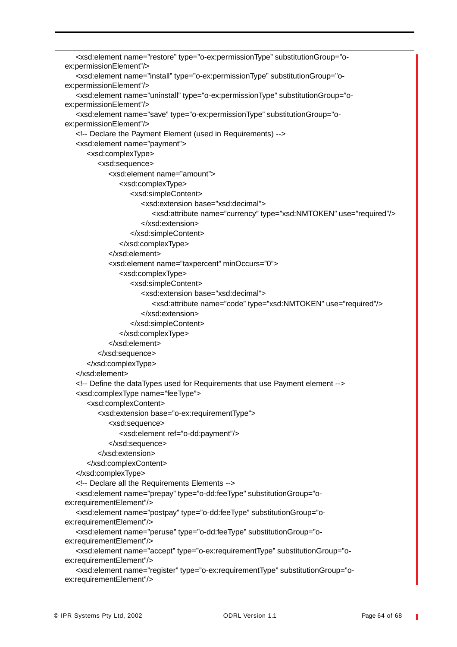```
<xsd:element name="restore" type="o-ex:permissionType" substitutionGroup="o-
ex:permissionElement"/>
   <xsd:element name="install" type="o-ex:permissionType" substitutionGroup="o-
ex:permissionElement"/>
   <xsd:element name="uninstall" type="o-ex:permissionType" substitutionGroup="o-
ex:permissionElement"/>
   <xsd:element name="save" type="o-ex:permissionType" substitutionGroup="o-
ex:permissionElement"/>
   <!-- Declare the Payment Element (used in Requirements) -->
   <xsd:element name="payment">
      <xsd:complexType>
         <xsd:sequence>
            <xsd:element name="amount">
               <xsd:complexType>
                  <xsd:simpleContent>
                     <xsd:extension base="xsd:decimal">
                        <xsd:attribute name="currency" type="xsd:NMTOKEN" use="required"/>
                     </xsd:extension>
                  </xsd:simpleContent>
               </xsd:complexType>
            </xsd:element>
            <xsd:element name="taxpercent" minOccurs="0">
               <xsd:complexType>
                  <xsd:simpleContent>
                     <xsd:extension base="xsd:decimal">
                        <xsd:attribute name="code" type="xsd:NMTOKEN" use="required"/>
                     </xsd:extension>
                  </xsd:simpleContent>
               </xsd:complexType>
            </xsd:element>
         </xsd:sequence>
      </xsd:complexType>
   </xsd:element>
   <!-- Define the dataTypes used for Requirements that use Payment element -->
   <xsd:complexType name="feeType">
      <xsd:complexContent>
         <xsd:extension base="o-ex:requirementType">
            <xsd:sequence>
               <xsd:element ref="o-dd:payment"/>
            </xsd:sequence>
         </xsd:extension>
      </xsd:complexContent>
   </xsd:complexType>
   <!-- Declare all the Requirements Elements -->
   <xsd:element name="prepay" type="o-dd:feeType" substitutionGroup="o-
ex:requirementElement"/>
   <xsd:element name="postpay" type="o-dd:feeType" substitutionGroup="o-
ex:requirementElement"/>
   <xsd:element name="peruse" type="o-dd:feeType" substitutionGroup="o-
ex:requirementElement"/>
   <xsd:element name="accept" type="o-ex:requirementType" substitutionGroup="o-
ex:requirementElement"/>
   <xsd:element name="register" type="o-ex:requirementType" substitutionGroup="o-
ex:requirementElement"/>
```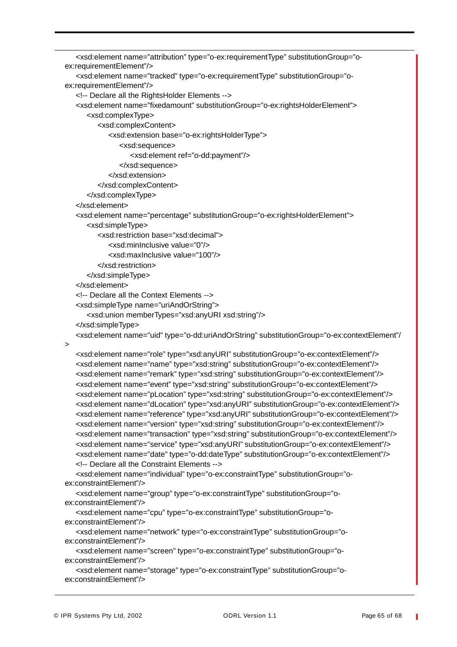```
<xsd:element name="attribution" type="o-ex:requirementType" substitutionGroup="o-
ex:requirementElement"/>
   <xsd:element name="tracked" type="o-ex:requirementType" substitutionGroup="o-
ex:requirementElement"/>
   <!-- Declare all the RightsHolder Elements -->
   <xsd:element name="fixedamount" substitutionGroup="o-ex:rightsHolderElement">
      <xsd:complexType>
         <xsd:complexContent>
            <xsd:extension base="o-ex:rightsHolderType">
               <xsd:sequence>
                  <xsd:element ref="o-dd:payment"/>
               </xsd:sequence>
            </xsd:extension>
         </xsd:complexContent>
      </xsd:complexType>
   </xsd:element>
   <xsd:element name="percentage" substitutionGroup="o-ex:rightsHolderElement">
      <xsd:simpleType>
         <xsd:restriction base="xsd:decimal">
            <xsd:minInclusive value="0"/>
            <xsd:maxInclusive value="100"/>
         </xsd:restriction>
      </xsd:simpleType>
   </xsd:element>
   <!-- Declare all the Context Elements -->
   <xsd:simpleType name="uriAndOrString">
      <xsd:union memberTypes="xsd:anyURI xsd:string"/>
   </xsd:simpleType>
   <xsd:element name="uid" type="o-dd:uriAndOrString" substitutionGroup="o-ex:contextElement"/
\overline{\phantom{0}}<xsd:element name="role" type="xsd:anyURI" substitutionGroup="o-ex:contextElement"/>
   <xsd:element name="name" type="xsd:string" substitutionGroup="o-ex:contextElement"/>
   <xsd:element name="remark" type="xsd:string" substitutionGroup="o-ex:contextElement"/>
   <xsd:element name="event" type="xsd:string" substitutionGroup="o-ex:contextElement"/>
   <xsd:element name="pLocation" type="xsd:string" substitutionGroup="o-ex:contextElement"/>
   <xsd:element name="dLocation" type="xsd:anyURI" substitutionGroup="o-ex:contextElement"/>
   <xsd:element name="reference" type="xsd:anyURI" substitutionGroup="o-ex:contextElement"/>
   <xsd:element name="version" type="xsd:string" substitutionGroup="o-ex:contextElement"/>
   <xsd:element name="transaction" type="xsd:string" substitutionGroup="o-ex:contextElement"/>
   <xsd:element name="service" type="xsd:anyURI" substitutionGroup="o-ex:contextElement"/>
   <xsd:element name="date" type="o-dd:dateType" substitutionGroup="o-ex:contextElement"/>
   <!-- Declare all the Constraint Elements -->
   <xsd:element name="individual" type="o-ex:constraintType" substitutionGroup="o-
ex:constraintElement"/>
   <xsd:element name="group" type="o-ex:constraintType" substitutionGroup="o-
ex:constraintElement"/>
   <xsd:element name="cpu" type="o-ex:constraintType" substitutionGroup="o-
ex:constraintElement"/>
   <xsd:element name="network" type="o-ex:constraintType" substitutionGroup="o-
ex:constraintElement"/>
   <xsd:element name="screen" type="o-ex:constraintType" substitutionGroup="o-
ex:constraintElement"/>
   <xsd:element name="storage" type="o-ex:constraintType" substitutionGroup="o-
ex:constraintElement"/>
```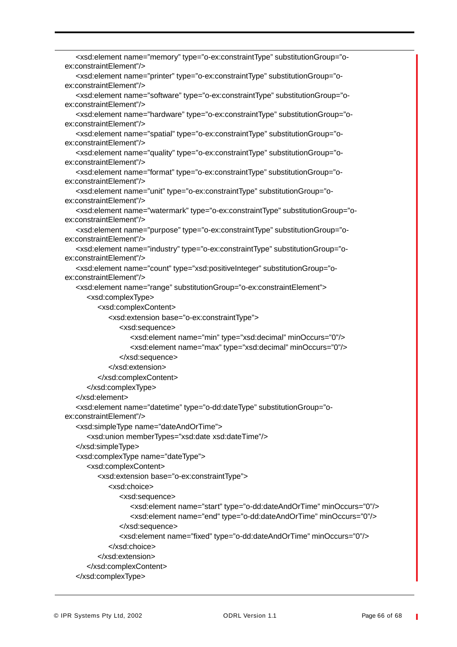```
<xsd:element name="memory" type="o-ex:constraintType" substitutionGroup="o-
ex:constraintElement"/>
   <xsd:element name="printer" type="o-ex:constraintType" substitutionGroup="o-
ex:constraintElement"/>
   <xsd:element name="software" type="o-ex:constraintType" substitutionGroup="o-
ex:constraintElement"/>
   <xsd:element name="hardware" type="o-ex:constraintType" substitutionGroup="o-
ex:constraintElement"/>
   <xsd:element name="spatial" type="o-ex:constraintType" substitutionGroup="o-
ex:constraintElement"/>
   <xsd:element name="quality" type="o-ex:constraintType" substitutionGroup="o-
ex:constraintElement"/>
   <xsd:element name="format" type="o-ex:constraintType" substitutionGroup="o-
ex:constraintElement"/>
   <xsd:element name="unit" type="o-ex:constraintType" substitutionGroup="o-
ex:constraintElement"/>
   <xsd:element name="watermark" type="o-ex:constraintType" substitutionGroup="o-
ex:constraintElement"/>
   <xsd:element name="purpose" type="o-ex:constraintType" substitutionGroup="o-
ex:constraintElement"/>
   <xsd:element name="industry" type="o-ex:constraintType" substitutionGroup="o-
ex:constraintElement"/>
   <xsd:element name="count" type="xsd:positiveInteger" substitutionGroup="o-
ex:constraintElement"/>
   <xsd:element name="range" substitutionGroup="o-ex:constraintElement">
      <xsd:complexType>
         <xsd:complexContent>
            <xsd:extension base="o-ex:constraintType">
               <xsd:sequence>
                  <xsd:element name="min" type="xsd:decimal" minOccurs="0"/>
                  <xsd:element name="max" type="xsd:decimal" minOccurs="0"/>
               </xsd:sequence>
            </xsd:extension>
         </xsd:complexContent>
      </xsd:complexType>
   </xsd:element>
   <xsd:element name="datetime" type="o-dd:dateType" substitutionGroup="o-
ex:constraintElement"/>
   <xsd:simpleType name="dateAndOrTime">
      <xsd:union memberTypes="xsd:date xsd:dateTime"/>
   </xsd:simpleType>
   <xsd:complexType name="dateType">
      <xsd:complexContent>
         <xsd:extension base="o-ex:constraintType">
            <xsd:choice>
               <xsd:sequence>
                  <xsd:element name="start" type="o-dd:dateAndOrTime" minOccurs="0"/>
                  <xsd:element name="end" type="o-dd:dateAndOrTime" minOccurs="0"/>
               </xsd:sequence>
               <xsd:element name="fixed" type="o-dd:dateAndOrTime" minOccurs="0"/>
            </xsd:choice>
         </xsd:extension>
      </xsd:complexContent>
   </xsd:complexType>
```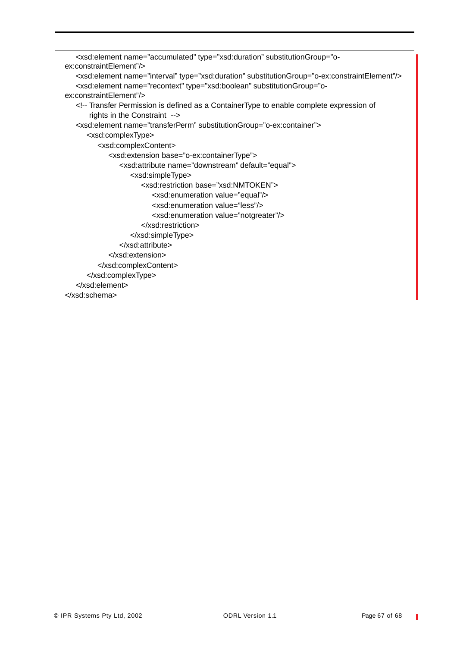```
<xsd:element name="accumulated" type="xsd:duration" substitutionGroup="o-
ex:constraintElement"/>
   <xsd:element name="interval" type="xsd:duration" substitutionGroup="o-ex:constraintElement"/>
   <xsd:element name="recontext" type="xsd:boolean" substitutionGroup="o-
ex:constraintElement"/>
   <!-- Transfer Permission is defined as a ContainerType to enable complete expression of
      rights in the Constraint -->
   <xsd:element name="transferPerm" substitutionGroup="o-ex:container">
      <xsd:complexType>
         <xsd:complexContent>
            <xsd:extension base="o-ex:containerType">
               <xsd:attribute name="downstream" default="equal">
                  <xsd:simpleType>
                     <xsd:restriction base="xsd:NMTOKEN">
                        <xsd:enumeration value="equal"/>
                        <xsd:enumeration value="less"/>
                        <xsd:enumeration value="notgreater"/>
                     </xsd:restriction>
                  </xsd:simpleType>
               </xsd:attribute>
            </xsd:extension>
         </xsd:complexContent>
      </xsd:complexType>
   </xsd:element>
</xsd:schema>
```
Ī